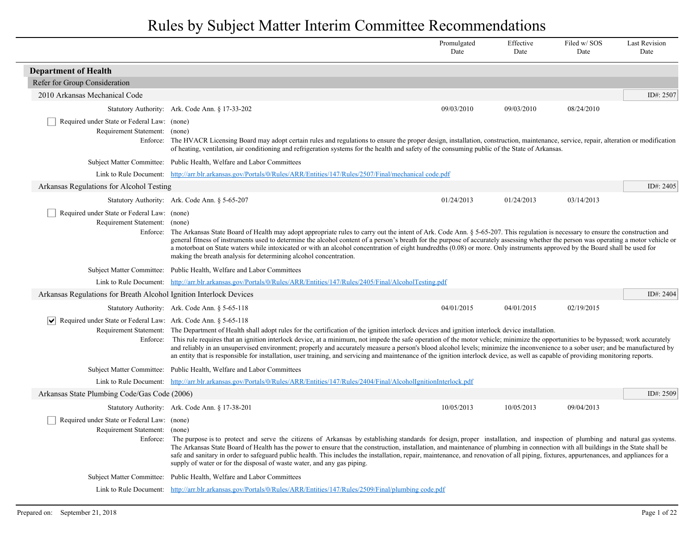|                                                                                          |                                                                                                                                                                                                                                                                                                                                                                                                                                                                                                                                                                                                                                                                                                                                                | Promulgated<br>Date | Effective<br>Date | Filed w/SOS<br>Date | <b>Last Revision</b><br>Date |
|------------------------------------------------------------------------------------------|------------------------------------------------------------------------------------------------------------------------------------------------------------------------------------------------------------------------------------------------------------------------------------------------------------------------------------------------------------------------------------------------------------------------------------------------------------------------------------------------------------------------------------------------------------------------------------------------------------------------------------------------------------------------------------------------------------------------------------------------|---------------------|-------------------|---------------------|------------------------------|
| <b>Department of Health</b>                                                              |                                                                                                                                                                                                                                                                                                                                                                                                                                                                                                                                                                                                                                                                                                                                                |                     |                   |                     |                              |
| Refer for Group Consideration                                                            |                                                                                                                                                                                                                                                                                                                                                                                                                                                                                                                                                                                                                                                                                                                                                |                     |                   |                     |                              |
| 2010 Arkansas Mechanical Code                                                            |                                                                                                                                                                                                                                                                                                                                                                                                                                                                                                                                                                                                                                                                                                                                                |                     |                   |                     | ID#: 2507                    |
|                                                                                          | Statutory Authority: Ark. Code Ann. § 17-33-202                                                                                                                                                                                                                                                                                                                                                                                                                                                                                                                                                                                                                                                                                                | 09/03/2010          | 09/03/2010        | 08/24/2010          |                              |
| Required under State or Federal Law: (none)<br>Requirement Statement: (none)<br>Enforce: | The HVACR Licensing Board may adopt certain rules and regulations to ensure the proper design, installation, construction, maintenance, service, repair, alteration or modification<br>of heating, ventilation, air conditioning and refrigeration systems for the health and safety of the consuming public of the State of Arkansas.                                                                                                                                                                                                                                                                                                                                                                                                         |                     |                   |                     |                              |
|                                                                                          | Subject Matter Committee: Public Health, Welfare and Labor Committees                                                                                                                                                                                                                                                                                                                                                                                                                                                                                                                                                                                                                                                                          |                     |                   |                     |                              |
|                                                                                          | Link to Rule Document: http://arr.blr.arkansas.gov/Portals/0/Rules/ARR/Entities/147/Rules/2507/Final/mechanical code.pdf                                                                                                                                                                                                                                                                                                                                                                                                                                                                                                                                                                                                                       |                     |                   |                     |                              |
| Arkansas Regulations for Alcohol Testing                                                 |                                                                                                                                                                                                                                                                                                                                                                                                                                                                                                                                                                                                                                                                                                                                                |                     |                   |                     | ID#: 2405                    |
|                                                                                          | Statutory Authority: Ark. Code Ann. § 5-65-207                                                                                                                                                                                                                                                                                                                                                                                                                                                                                                                                                                                                                                                                                                 | 01/24/2013          | 01/24/2013        | 03/14/2013          |                              |
| Required under State or Federal Law: (none)<br>Requirement Statement: (none)             | Enforce: The Arkansas State Board of Health may adopt appropriate rules to carry out the intent of Ark. Code Ann. § 5-65-207. This regulation is necessary to ensure the construction and<br>general fitness of instruments used to determine the alcohol content of a person's breath for the purpose of accurately assessing whether the person was operating a motor vehicle or<br>a motorboat on State waters while intoxicated or with an alcohol concentration of eight hundredths (0.08) or more. Only instruments approved by the Board shall be used for<br>making the breath analysis for determining alcohol concentration.                                                                                                         |                     |                   |                     |                              |
|                                                                                          | Subject Matter Committee: Public Health, Welfare and Labor Committees                                                                                                                                                                                                                                                                                                                                                                                                                                                                                                                                                                                                                                                                          |                     |                   |                     |                              |
|                                                                                          | Link to Rule Document: http://arr.blr.arkansas.gov/Portals/0/Rules/ARR/Entities/147/Rules/2405/Final/AlcoholTesting.pdf                                                                                                                                                                                                                                                                                                                                                                                                                                                                                                                                                                                                                        |                     |                   |                     |                              |
| Arkansas Regulations for Breath Alcohol Ignition Interlock Devices                       |                                                                                                                                                                                                                                                                                                                                                                                                                                                                                                                                                                                                                                                                                                                                                |                     |                   |                     | ID#: 2404                    |
|                                                                                          | Statutory Authority: Ark. Code Ann. § 5-65-118                                                                                                                                                                                                                                                                                                                                                                                                                                                                                                                                                                                                                                                                                                 | 04/01/2015          | 04/01/2015        | 02/19/2015          |                              |
| $ \bm{\vee} $<br>Required under State or Federal Law: Ark. Code Ann. § 5-65-118          | Requirement Statement: The Department of Health shall adopt rules for the certification of the ignition interlock devices and ignition interlock device installation.<br>Enforce: This rule requires that an ignition interlock device, at a minimum, not impede the safe operation of the motor vehicle; minimize the opportunities to be bypassed; work accurately<br>and reliably in an unsupervised environment; properly and accurately measure a person's blood alcohol levels; minimize the inconvenience to a sober user; and be manufactured by<br>an entity that is responsible for installation, user training, and servicing and maintenance of the ignition interlock device, as well as capable of providing monitoring reports. |                     |                   |                     |                              |
|                                                                                          | Subject Matter Committee: Public Health, Welfare and Labor Committees                                                                                                                                                                                                                                                                                                                                                                                                                                                                                                                                                                                                                                                                          |                     |                   |                     |                              |
|                                                                                          | Link to Rule Document: http://arr.blr.arkansas.gov/Portals/0/Rules/ARR/Entities/147/Rules/2404/Final/AlcoholIgnitionInterlock.pdf                                                                                                                                                                                                                                                                                                                                                                                                                                                                                                                                                                                                              |                     |                   |                     |                              |
| Arkansas State Plumbing Code/Gas Code (2006)                                             |                                                                                                                                                                                                                                                                                                                                                                                                                                                                                                                                                                                                                                                                                                                                                |                     |                   |                     | ID#: $2509$                  |
|                                                                                          | Statutory Authority: Ark. Code Ann. § 17-38-201                                                                                                                                                                                                                                                                                                                                                                                                                                                                                                                                                                                                                                                                                                | 10/05/2013          | 10/05/2013        | 09/04/2013          |                              |
| Required under State or Federal Law: (none)<br>Requirement Statement:                    | (none)<br>Enforce: The purpose is to protect and serve the citizens of Arkansas by establishing standards for design, proper installation, and inspection of plumbing and natural gas systems.<br>The Arkansas State Board of Health has the power to ensure that the construction, installation, and maintenance of plumbing in connection with all buildings in the State shall be<br>safe and sanitary in order to safeguard public health. This includes the installation, repair, maintenance, and renovation of all piping, fixtures, appurtenances, and appliances for a<br>supply of water or for the disposal of waste water, and any gas piping.                                                                                     |                     |                   |                     |                              |
|                                                                                          | Subject Matter Committee: Public Health, Welfare and Labor Committees                                                                                                                                                                                                                                                                                                                                                                                                                                                                                                                                                                                                                                                                          |                     |                   |                     |                              |
|                                                                                          | Link to Rule Document: http://arr.blr.arkansas.gov/Portals/0/Rules/ARR/Entities/147/Rules/2509/Final/plumbing code.pdf                                                                                                                                                                                                                                                                                                                                                                                                                                                                                                                                                                                                                         |                     |                   |                     |                              |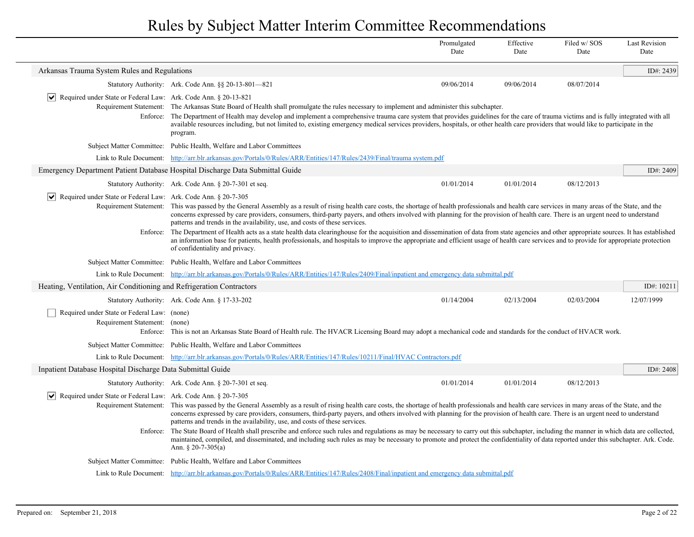|                                                                                                    |                                                                                                                                                                                                                                                                                                                                                                                                                                                                                                                                                                                                                                                                                                                                                                                                                                                                                                           | Promulgated<br>Date                                                                                                                                                                                                                                                                                                                                                                                                                                                                                                | Effective<br>Date | Filed w/SOS<br>Date | <b>Last Revision</b><br>Date |  |  |
|----------------------------------------------------------------------------------------------------|-----------------------------------------------------------------------------------------------------------------------------------------------------------------------------------------------------------------------------------------------------------------------------------------------------------------------------------------------------------------------------------------------------------------------------------------------------------------------------------------------------------------------------------------------------------------------------------------------------------------------------------------------------------------------------------------------------------------------------------------------------------------------------------------------------------------------------------------------------------------------------------------------------------|--------------------------------------------------------------------------------------------------------------------------------------------------------------------------------------------------------------------------------------------------------------------------------------------------------------------------------------------------------------------------------------------------------------------------------------------------------------------------------------------------------------------|-------------------|---------------------|------------------------------|--|--|
| Arkansas Trauma System Rules and Regulations                                                       |                                                                                                                                                                                                                                                                                                                                                                                                                                                                                                                                                                                                                                                                                                                                                                                                                                                                                                           |                                                                                                                                                                                                                                                                                                                                                                                                                                                                                                                    |                   |                     | ID#: 2439                    |  |  |
|                                                                                                    | Statutory Authority: Ark. Code Ann. §§ 20-13-801-821                                                                                                                                                                                                                                                                                                                                                                                                                                                                                                                                                                                                                                                                                                                                                                                                                                                      | 09/06/2014                                                                                                                                                                                                                                                                                                                                                                                                                                                                                                         | 09/06/2014        | 08/07/2014          |                              |  |  |
| $ \bm{\mathsf{v}} $<br>Required under State or Federal Law: Ark. Code Ann. § 20-13-821<br>Enforce: | program.                                                                                                                                                                                                                                                                                                                                                                                                                                                                                                                                                                                                                                                                                                                                                                                                                                                                                                  | Requirement Statement: The Arkansas State Board of Health shall promulgate the rules necessary to implement and administer this subchapter.<br>The Department of Health may develop and implement a comprehensive trauma care system that provides guidelines for the care of trauma victims and is fully integrated with all<br>available resources including, but not limited to, existing emergency medical services providers, hospitals, or other health care providers that would like to participate in the |                   |                     |                              |  |  |
|                                                                                                    | Subject Matter Committee: Public Health, Welfare and Labor Committees                                                                                                                                                                                                                                                                                                                                                                                                                                                                                                                                                                                                                                                                                                                                                                                                                                     |                                                                                                                                                                                                                                                                                                                                                                                                                                                                                                                    |                   |                     |                              |  |  |
|                                                                                                    | Link to Rule Document: http://arr.blr.arkansas.gov/Portals/0/Rules/ARR/Entities/147/Rules/2439/Final/trauma system.pdf                                                                                                                                                                                                                                                                                                                                                                                                                                                                                                                                                                                                                                                                                                                                                                                    |                                                                                                                                                                                                                                                                                                                                                                                                                                                                                                                    |                   |                     |                              |  |  |
|                                                                                                    | Emergency Department Patient Database Hospital Discharge Data Submittal Guide                                                                                                                                                                                                                                                                                                                                                                                                                                                                                                                                                                                                                                                                                                                                                                                                                             |                                                                                                                                                                                                                                                                                                                                                                                                                                                                                                                    |                   |                     | ID#: 2409                    |  |  |
|                                                                                                    | Statutory Authority: Ark. Code Ann. § 20-7-301 et seq.                                                                                                                                                                                                                                                                                                                                                                                                                                                                                                                                                                                                                                                                                                                                                                                                                                                    | 01/01/2014                                                                                                                                                                                                                                                                                                                                                                                                                                                                                                         | 01/01/2014        | 08/12/2013          |                              |  |  |
| $ \mathbf{v} $ Required under State or Federal Law: Ark. Code Ann. § 20-7-305                      | Requirement Statement: This was passed by the General Assembly as a result of rising health care costs, the shortage of health professionals and health care services in many areas of the State, and the<br>concerns expressed by care providers, consumers, third-party payers, and others involved with planning for the provision of health care. There is an urgent need to understand<br>patterns and trends in the availability, use, and costs of these services.<br>Enforce: The Department of Health acts as a state health data clearinghouse for the acquisition and dissemination of data from state agencies and other appropriate sources. It has established<br>an information base for patients, health professionals, and hospitals to improve the appropriate and efficient usage of health care services and to provide for appropriate protection<br>of confidentiality and privacy. |                                                                                                                                                                                                                                                                                                                                                                                                                                                                                                                    |                   |                     |                              |  |  |
|                                                                                                    | Subject Matter Committee: Public Health, Welfare and Labor Committees                                                                                                                                                                                                                                                                                                                                                                                                                                                                                                                                                                                                                                                                                                                                                                                                                                     |                                                                                                                                                                                                                                                                                                                                                                                                                                                                                                                    |                   |                     |                              |  |  |
|                                                                                                    | Link to Rule Document: http://arr.blr.arkansas.gov/Portals/0/Rules/ARR/Entities/147/Rules/2409/Final/inpatient and emergency data submittal.pdf                                                                                                                                                                                                                                                                                                                                                                                                                                                                                                                                                                                                                                                                                                                                                           |                                                                                                                                                                                                                                                                                                                                                                                                                                                                                                                    |                   |                     |                              |  |  |
| Heating, Ventilation, Air Conditioning and Refrigeration Contractors                               |                                                                                                                                                                                                                                                                                                                                                                                                                                                                                                                                                                                                                                                                                                                                                                                                                                                                                                           |                                                                                                                                                                                                                                                                                                                                                                                                                                                                                                                    |                   |                     | ID#: 10211                   |  |  |
|                                                                                                    | Statutory Authority: Ark. Code Ann. § 17-33-202                                                                                                                                                                                                                                                                                                                                                                                                                                                                                                                                                                                                                                                                                                                                                                                                                                                           | 01/14/2004                                                                                                                                                                                                                                                                                                                                                                                                                                                                                                         | 02/13/2004        | 02/03/2004          | 12/07/1999                   |  |  |
| Required under State or Federal Law: (none)<br>Requirement Statement: (none)                       | Enforce: This is not an Arkansas State Board of Health rule. The HVACR Licensing Board may adopt a mechanical code and standards for the conduct of HVACR work.                                                                                                                                                                                                                                                                                                                                                                                                                                                                                                                                                                                                                                                                                                                                           |                                                                                                                                                                                                                                                                                                                                                                                                                                                                                                                    |                   |                     |                              |  |  |
| <b>Subject Matter Committee:</b>                                                                   | Public Health, Welfare and Labor Committees                                                                                                                                                                                                                                                                                                                                                                                                                                                                                                                                                                                                                                                                                                                                                                                                                                                               |                                                                                                                                                                                                                                                                                                                                                                                                                                                                                                                    |                   |                     |                              |  |  |
|                                                                                                    | Link to Rule Document: http://arr.blr.arkansas.gov/Portals/0/Rules/ARR/Entities/147/Rules/10211/Final/HVAC Contractors.pdf                                                                                                                                                                                                                                                                                                                                                                                                                                                                                                                                                                                                                                                                                                                                                                                |                                                                                                                                                                                                                                                                                                                                                                                                                                                                                                                    |                   |                     |                              |  |  |
| Inpatient Database Hospital Discharge Data Submittal Guide                                         |                                                                                                                                                                                                                                                                                                                                                                                                                                                                                                                                                                                                                                                                                                                                                                                                                                                                                                           |                                                                                                                                                                                                                                                                                                                                                                                                                                                                                                                    |                   |                     | ID#: 2408                    |  |  |
|                                                                                                    | Statutory Authority: Ark. Code Ann. § 20-7-301 et seq.                                                                                                                                                                                                                                                                                                                                                                                                                                                                                                                                                                                                                                                                                                                                                                                                                                                    | 01/01/2014                                                                                                                                                                                                                                                                                                                                                                                                                                                                                                         | 01/01/2014        | 08/12/2013          |                              |  |  |
| Required under State or Federal Law: Ark. Code Ann. § 20-7-305                                     | Requirement Statement: This was passed by the General Assembly as a result of rising health care costs, the shortage of health professionals and health care services in many areas of the State, and the<br>concerns expressed by care providers, consumers, third-party payers, and others involved with planning for the provision of health care. There is an urgent need to understand<br>patterns and trends in the availability, use, and costs of these services.                                                                                                                                                                                                                                                                                                                                                                                                                                 |                                                                                                                                                                                                                                                                                                                                                                                                                                                                                                                    |                   |                     |                              |  |  |
| Enforce:                                                                                           | The State Board of Health shall prescribe and enforce such rules and regulations as may be necessary to carry out this subchapter, including the manner in which data are collected,<br>maintained, compiled, and disseminated, and including such rules as may be necessary to promote and protect the confidentiality of data reported under this subchapter. Ark. Code.<br>Ann. $\S$ 20-7-305(a)                                                                                                                                                                                                                                                                                                                                                                                                                                                                                                       |                                                                                                                                                                                                                                                                                                                                                                                                                                                                                                                    |                   |                     |                              |  |  |
|                                                                                                    | Subject Matter Committee: Public Health, Welfare and Labor Committees                                                                                                                                                                                                                                                                                                                                                                                                                                                                                                                                                                                                                                                                                                                                                                                                                                     |                                                                                                                                                                                                                                                                                                                                                                                                                                                                                                                    |                   |                     |                              |  |  |
|                                                                                                    | Link to Rule Document: http://arr.blr.arkansas.gov/Portals/0/Rules/ARR/Entities/147/Rules/2408/Final/inpatient and emergency data submittal.pdf                                                                                                                                                                                                                                                                                                                                                                                                                                                                                                                                                                                                                                                                                                                                                           |                                                                                                                                                                                                                                                                                                                                                                                                                                                                                                                    |                   |                     |                              |  |  |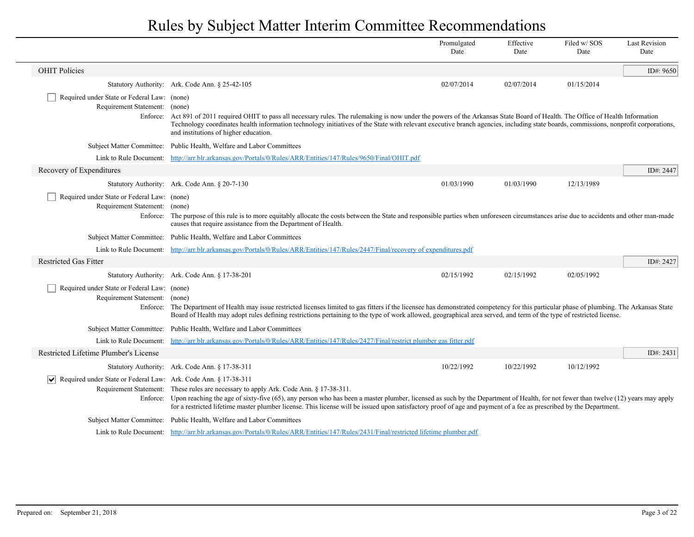|                                                                                |                                                                                                                                                                                                                                                                                                                                                                                                                                                          | Promulgated<br>Date | Effective<br>Date | Filed w/SOS<br>Date | <b>Last Revision</b><br>Date |
|--------------------------------------------------------------------------------|----------------------------------------------------------------------------------------------------------------------------------------------------------------------------------------------------------------------------------------------------------------------------------------------------------------------------------------------------------------------------------------------------------------------------------------------------------|---------------------|-------------------|---------------------|------------------------------|
| <b>OHIT Policies</b>                                                           |                                                                                                                                                                                                                                                                                                                                                                                                                                                          |                     |                   |                     | ID#: 9650                    |
|                                                                                | Statutory Authority: Ark. Code Ann. § 25-42-105                                                                                                                                                                                                                                                                                                                                                                                                          | 02/07/2014          | 02/07/2014        | 01/15/2014          |                              |
| Required under State or Federal Law: (none)<br>Requirement Statement: (none)   | Enforce: Act 891 of 2011 required OHIT to pass all necessary rules. The rulemaking is now under the powers of the Arkansas State Board of Health. The Office of Health Information<br>Technology coordinates health information technology initiatives of the State with relevant executive branch agencies, including state boards, commissions, nonprofit corporations,                                                                                |                     |                   |                     |                              |
|                                                                                | and institutions of higher education.                                                                                                                                                                                                                                                                                                                                                                                                                    |                     |                   |                     |                              |
|                                                                                | Subject Matter Committee: Public Health, Welfare and Labor Committees                                                                                                                                                                                                                                                                                                                                                                                    |                     |                   |                     |                              |
|                                                                                | Link to Rule Document: http://arr.blr.arkansas.gov/Portals/0/Rules/ARR/Entities/147/Rules/9650/Final/OHIT.pdf                                                                                                                                                                                                                                                                                                                                            |                     |                   |                     |                              |
| Recovery of Expenditures                                                       |                                                                                                                                                                                                                                                                                                                                                                                                                                                          |                     |                   |                     | ID#: 2447                    |
|                                                                                | Statutory Authority: Ark. Code Ann. § 20-7-130                                                                                                                                                                                                                                                                                                                                                                                                           | 01/03/1990          | 01/03/1990        | 12/13/1989          |                              |
| Required under State or Federal Law: (none)<br>Requirement Statement: (none)   | Enforce: The purpose of this rule is to more equitably allocate the costs between the State and responsible parties when unforeseen circumstances arise due to accidents and other man-made<br>causes that require assistance from the Department of Health.                                                                                                                                                                                             |                     |                   |                     |                              |
|                                                                                | Subject Matter Committee: Public Health, Welfare and Labor Committees                                                                                                                                                                                                                                                                                                                                                                                    |                     |                   |                     |                              |
|                                                                                | Link to Rule Document: http://arr.blr.arkansas.gov/Portals/0/Rules/ARR/Entities/147/Rules/2447/Final/recovery of expenditures.pdf                                                                                                                                                                                                                                                                                                                        |                     |                   |                     |                              |
| <b>Restricted Gas Fitter</b>                                                   |                                                                                                                                                                                                                                                                                                                                                                                                                                                          |                     |                   |                     | ID#: 2427                    |
|                                                                                | Statutory Authority: Ark. Code Ann. § 17-38-201                                                                                                                                                                                                                                                                                                                                                                                                          | 02/15/1992          | 02/15/1992        | 02/05/1992          |                              |
| Required under State or Federal Law: (none)<br>Requirement Statement: (none)   | Enforce: The Department of Health may issue restricted licenses limited to gas fitters if the licensee has demonstrated competency for this particular phase of plumbing. The Arkansas State<br>Board of Health may adopt rules defining restrictions pertaining to the type of work allowed, geographical area served, and term of the type of restricted license.                                                                                      |                     |                   |                     |                              |
|                                                                                | Subject Matter Committee: Public Health, Welfare and Labor Committees                                                                                                                                                                                                                                                                                                                                                                                    |                     |                   |                     |                              |
| Link to Rule Document:                                                         | http://arr.blr.arkansas.gov/Portals/0/Rules/ARR/Entities/147/Rules/2427/Final/restrict plumber gas fitter.pdf                                                                                                                                                                                                                                                                                                                                            |                     |                   |                     |                              |
| Restricted Lifetime Plumber's License                                          |                                                                                                                                                                                                                                                                                                                                                                                                                                                          |                     |                   |                     | ID#: 2431                    |
|                                                                                | Statutory Authority: Ark. Code Ann. § 17-38-311                                                                                                                                                                                                                                                                                                                                                                                                          | 10/22/1992          | 10/22/1992        | 10/12/1992          |                              |
| $ \mathbf{v} $ Required under State or Federal Law: Ark. Code Ann. § 17-38-311 |                                                                                                                                                                                                                                                                                                                                                                                                                                                          |                     |                   |                     |                              |
|                                                                                | Requirement Statement: These rules are necessary to apply Ark. Code Ann. § 17-38-311.<br>Enforce: Upon reaching the age of sixty-five (65), any person who has been a master plumber, licensed as such by the Department of Health, for not fewer than twelve (12) years may apply<br>for a restricted lifetime master plumber license. This license will be issued upon satisfactory proof of age and payment of a fee as prescribed by the Department. |                     |                   |                     |                              |
|                                                                                | Subject Matter Committee: Public Health, Welfare and Labor Committees                                                                                                                                                                                                                                                                                                                                                                                    |                     |                   |                     |                              |
|                                                                                | Link to Rule Document: http://arr.blr.arkansas.gov/Portals/0/Rules/ARR/Entities/147/Rules/2431/Final/restricted lifetime plumber.pdf                                                                                                                                                                                                                                                                                                                     |                     |                   |                     |                              |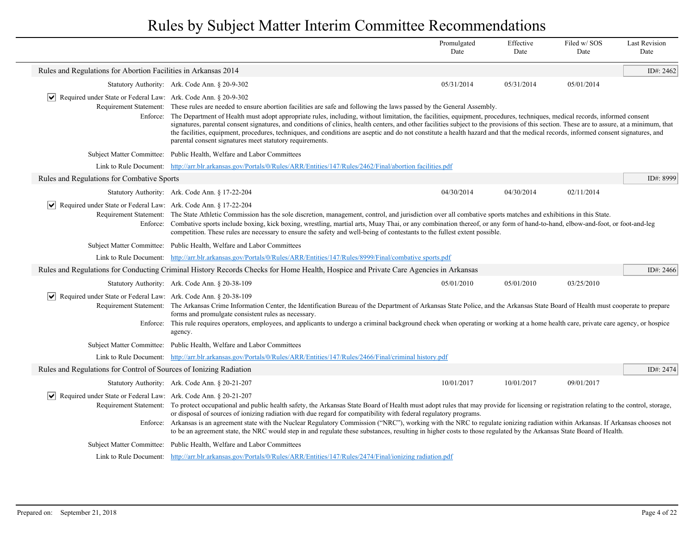|                                                                                            |                                                                                                                                                                                                                                                                                                                                                                                                                                                                                                                                                                                                                                                                                                                                                                                     | Promulgated<br>Date | Effective<br>Date | Filed w/SOS<br>Date | <b>Last Revision</b><br>Date |
|--------------------------------------------------------------------------------------------|-------------------------------------------------------------------------------------------------------------------------------------------------------------------------------------------------------------------------------------------------------------------------------------------------------------------------------------------------------------------------------------------------------------------------------------------------------------------------------------------------------------------------------------------------------------------------------------------------------------------------------------------------------------------------------------------------------------------------------------------------------------------------------------|---------------------|-------------------|---------------------|------------------------------|
| Rules and Regulations for Abortion Facilities in Arkansas 2014                             |                                                                                                                                                                                                                                                                                                                                                                                                                                                                                                                                                                                                                                                                                                                                                                                     |                     |                   |                     | ID#: 2462                    |
|                                                                                            | Statutory Authority: Ark. Code Ann. § 20-9-302                                                                                                                                                                                                                                                                                                                                                                                                                                                                                                                                                                                                                                                                                                                                      | 05/31/2014          | 05/31/2014        | 05/01/2014          |                              |
| Required under State or Federal Law: Ark. Code Ann. § 20-9-302<br>$ \vee $                 | Requirement Statement: These rules are needed to ensure abortion facilities are safe and following the laws passed by the General Assembly.<br>Enforce: The Department of Health must adopt appropriate rules, including, without limitation, the facilities, equipment, procedures, techniques, medical records, informed consent<br>signatures, parental consent signatures, and conditions of clinics, health centers, and other facilities subject to the provisions of this section. These are to assure, at a minimum, that<br>the facilities, equipment, procedures, techniques, and conditions are aseptic and do not constitute a health hazard and that the medical records, informed consent signatures, and<br>parental consent signatures meet statutory requirements. |                     |                   |                     |                              |
|                                                                                            | Subject Matter Committee: Public Health, Welfare and Labor Committees                                                                                                                                                                                                                                                                                                                                                                                                                                                                                                                                                                                                                                                                                                               |                     |                   |                     |                              |
|                                                                                            | Link to Rule Document: http://arr.blr.arkansas.gov/Portals/0/Rules/ARR/Entities/147/Rules/2462/Final/abortion facilities.pdf                                                                                                                                                                                                                                                                                                                                                                                                                                                                                                                                                                                                                                                        |                     |                   |                     |                              |
| Rules and Regulations for Combative Sports                                                 |                                                                                                                                                                                                                                                                                                                                                                                                                                                                                                                                                                                                                                                                                                                                                                                     |                     |                   |                     | ID#: 8999                    |
|                                                                                            | Statutory Authority: Ark. Code Ann. § 17-22-204                                                                                                                                                                                                                                                                                                                                                                                                                                                                                                                                                                                                                                                                                                                                     | 04/30/2014          | 04/30/2014        | 02/11/2014          |                              |
| $ \vee $ Required under State or Federal Law: Ark. Code Ann. § 17-22-204                   | Requirement Statement: The State Athletic Commission has the sole discretion, management, control, and jurisdiction over all combative sports matches and exhibitions in this State.<br>Enforce: Combative sports include boxing, kick boxing, wrestling, martial arts, Muay Thai, or any combination thereof, or any form of hand-to-hand, elbow-and-foot, or foot-and-leg<br>competition. These rules are necessary to ensure the safety and well-being of contestants to the fullest extent possible.                                                                                                                                                                                                                                                                            |                     |                   |                     |                              |
|                                                                                            | Subject Matter Committee: Public Health, Welfare and Labor Committees                                                                                                                                                                                                                                                                                                                                                                                                                                                                                                                                                                                                                                                                                                               |                     |                   |                     |                              |
|                                                                                            | Link to Rule Document: http://arr.blr.arkansas.gov/Portals/0/Rules/ARR/Entities/147/Rules/8999/Final/combative sports.pdf                                                                                                                                                                                                                                                                                                                                                                                                                                                                                                                                                                                                                                                           |                     |                   |                     |                              |
|                                                                                            | Rules and Regulations for Conducting Criminal History Records Checks for Home Health, Hospice and Private Care Agencies in Arkansas                                                                                                                                                                                                                                                                                                                                                                                                                                                                                                                                                                                                                                                 |                     |                   |                     | ID#: 2466                    |
|                                                                                            | Statutory Authority: Ark. Code Ann. § 20-38-109                                                                                                                                                                                                                                                                                                                                                                                                                                                                                                                                                                                                                                                                                                                                     | 05/01/2010          | 05/01/2010        | 03/25/2010          |                              |
| $ \mathbf{v} $ Required under State or Federal Law: Ark. Code Ann. § 20-38-109<br>Enforce: | Requirement Statement: The Arkansas Crime Information Center, the Identification Bureau of the Department of Arkansas State Police, and the Arkansas State Board of Health must cooperate to prepare<br>forms and promulgate consistent rules as necessary.<br>This rule requires operators, employees, and applicants to undergo a criminal background check when operating or working at a home health care, private care agency, or hospice<br>agency.                                                                                                                                                                                                                                                                                                                           |                     |                   |                     |                              |
|                                                                                            | Subject Matter Committee: Public Health, Welfare and Labor Committees                                                                                                                                                                                                                                                                                                                                                                                                                                                                                                                                                                                                                                                                                                               |                     |                   |                     |                              |
|                                                                                            | Link to Rule Document: http://arr.blr.arkansas.gov/Portals/0/Rules/ARR/Entities/147/Rules/2466/Final/criminal history.pdf                                                                                                                                                                                                                                                                                                                                                                                                                                                                                                                                                                                                                                                           |                     |                   |                     |                              |
| Rules and Regulations for Control of Sources of Ionizing Radiation                         |                                                                                                                                                                                                                                                                                                                                                                                                                                                                                                                                                                                                                                                                                                                                                                                     |                     |                   |                     | ID#: 2474                    |
|                                                                                            | Statutory Authority: Ark. Code Ann. § 20-21-207                                                                                                                                                                                                                                                                                                                                                                                                                                                                                                                                                                                                                                                                                                                                     | 10/01/2017          | 10/01/2017        | 09/01/2017          |                              |
| $ \mathbf{v} $ Required under State or Federal Law: Ark. Code Ann. § 20-21-207             | Requirement Statement: To protect occupational and public health safety, the Arkansas State Board of Health must adopt rules that may provide for licensing or registration relating to the control, storage,<br>or disposal of sources of ionizing radiation with due regard for compatibility with federal regulatory programs.<br>Enforce: Arkansas is an agreement state with the Nuclear Regulatory Commission ("NRC"), working with the NRC to regulate ionizing radiation within Arkansas. If Arkansas chooses not<br>to be an agreement state, the NRC would step in and regulate these substances, resulting in higher costs to those regulated by the Arkansas State Board of Health.                                                                                     |                     |                   |                     |                              |
|                                                                                            | Subject Matter Committee: Public Health, Welfare and Labor Committees                                                                                                                                                                                                                                                                                                                                                                                                                                                                                                                                                                                                                                                                                                               |                     |                   |                     |                              |
|                                                                                            | Link to Rule Document: http://arr.blr.arkansas.gov/Portals/0/Rules/ARR/Entities/147/Rules/2474/Final/ionizing radiation.pdf                                                                                                                                                                                                                                                                                                                                                                                                                                                                                                                                                                                                                                                         |                     |                   |                     |                              |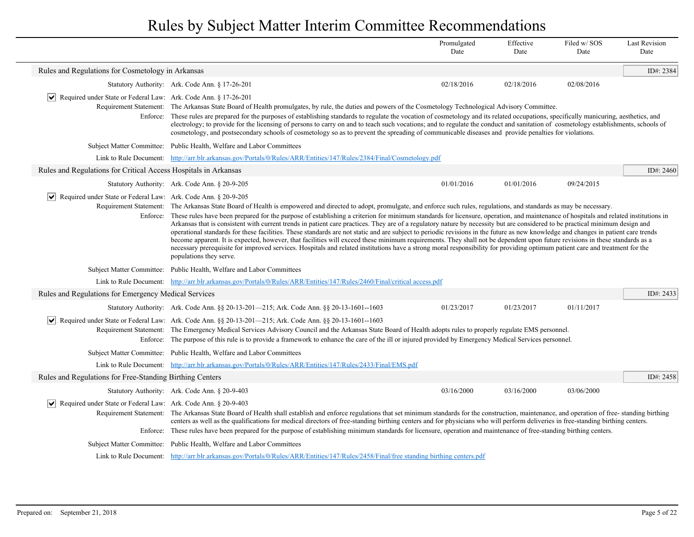|                                                                                          |                                                                                                                                                                                                                                                                                                                                                                                                                                                                                                                                                                                                                                                                                                                                                                                                                                                                                                                                                                                                                                                                                                                                                    | Promulgated<br>Date | Effective<br>Date | Filed w/SOS<br>Date | Last Revision<br>Date |
|------------------------------------------------------------------------------------------|----------------------------------------------------------------------------------------------------------------------------------------------------------------------------------------------------------------------------------------------------------------------------------------------------------------------------------------------------------------------------------------------------------------------------------------------------------------------------------------------------------------------------------------------------------------------------------------------------------------------------------------------------------------------------------------------------------------------------------------------------------------------------------------------------------------------------------------------------------------------------------------------------------------------------------------------------------------------------------------------------------------------------------------------------------------------------------------------------------------------------------------------------|---------------------|-------------------|---------------------|-----------------------|
| Rules and Regulations for Cosmetology in Arkansas                                        |                                                                                                                                                                                                                                                                                                                                                                                                                                                                                                                                                                                                                                                                                                                                                                                                                                                                                                                                                                                                                                                                                                                                                    |                     |                   |                     | ID#: 2384             |
|                                                                                          | Statutory Authority: Ark. Code Ann. § 17-26-201                                                                                                                                                                                                                                                                                                                                                                                                                                                                                                                                                                                                                                                                                                                                                                                                                                                                                                                                                                                                                                                                                                    | 02/18/2016          | 02/18/2016        | 02/08/2016          |                       |
| Required under State or Federal Law: Ark. Code Ann. § 17-26-201<br>$\blacktriangleright$ | Requirement Statement: The Arkansas State Board of Health promulgates, by rule, the duties and powers of the Cosmetology Technological Advisory Committee.<br>Enforce: These rules are prepared for the purposes of establishing standards to regulate the vocation of cosmetology and its related occupations, specifically manicuring, aesthetics, and<br>electrology; to provide for the licensing of persons to carry on and to teach such vocations; and to regulate the conduct and sanitation of cosmetology establishments, schools of<br>cosmetology, and postsecondary schools of cosmetology so as to prevent the spreading of communicable diseases and provide penalties for violations.                                                                                                                                                                                                                                                                                                                                                                                                                                              |                     |                   |                     |                       |
|                                                                                          | Subject Matter Committee: Public Health, Welfare and Labor Committees                                                                                                                                                                                                                                                                                                                                                                                                                                                                                                                                                                                                                                                                                                                                                                                                                                                                                                                                                                                                                                                                              |                     |                   |                     |                       |
|                                                                                          | Link to Rule Document: http://arr.blr.arkansas.gov/Portals/0/Rules/ARR/Entities/147/Rules/2384/Final/Cosmetology.pdf                                                                                                                                                                                                                                                                                                                                                                                                                                                                                                                                                                                                                                                                                                                                                                                                                                                                                                                                                                                                                               |                     |                   |                     |                       |
| Rules and Regulations for Critical Access Hospitals in Arkansas                          |                                                                                                                                                                                                                                                                                                                                                                                                                                                                                                                                                                                                                                                                                                                                                                                                                                                                                                                                                                                                                                                                                                                                                    |                     |                   |                     | ID#: $2460$           |
|                                                                                          | Statutory Authority: Ark. Code Ann. § 20-9-205                                                                                                                                                                                                                                                                                                                                                                                                                                                                                                                                                                                                                                                                                                                                                                                                                                                                                                                                                                                                                                                                                                     | 01/01/2016          | 01/01/2016        | 09/24/2015          |                       |
| ∣V∣<br>Required under State or Federal Law: Ark. Code Ann. § 20-9-205                    | Requirement Statement: The Arkansas State Board of Health is empowered and directed to adopt, promulgate, and enforce such rules, regulations, and standards as may be necessary.<br>Enforce: These rules have been prepared for the purpose of establishing a criterion for minimum standards for licensure, operation, and maintenance of hospitals and related institutions in<br>Arkansas that is consistent with current trends in patient care practices. They are of a regulatory nature by necessity but are considered to be practical minimum design and<br>operational standards for these facilities. These standards are not static and are subject to periodic revisions in the future as new knowledge and changes in patient care trends<br>become apparent. It is expected, however, that facilities will exceed these minimum requirements. They shall not be dependent upon future revisions in these standards as a<br>necessary prerequisite for improved services. Hospitals and related institutions have a strong moral responsibility for providing optimum patient care and treatment for the<br>populations they serve. |                     |                   |                     |                       |
|                                                                                          | Subject Matter Committee: Public Health, Welfare and Labor Committees                                                                                                                                                                                                                                                                                                                                                                                                                                                                                                                                                                                                                                                                                                                                                                                                                                                                                                                                                                                                                                                                              |                     |                   |                     |                       |
|                                                                                          | Link to Rule Document: http://arr.blr.arkansas.gov/Portals/0/Rules/ARR/Entities/147/Rules/2460/Final/critical access.pdf                                                                                                                                                                                                                                                                                                                                                                                                                                                                                                                                                                                                                                                                                                                                                                                                                                                                                                                                                                                                                           |                     |                   |                     |                       |
| Rules and Regulations for Emergency Medical Services                                     |                                                                                                                                                                                                                                                                                                                                                                                                                                                                                                                                                                                                                                                                                                                                                                                                                                                                                                                                                                                                                                                                                                                                                    |                     |                   |                     | ID#: 2433             |
|                                                                                          | Statutory Authority: Ark. Code Ann. §§ 20-13-201—215; Ark. Code Ann. §§ 20-13-1601--1603                                                                                                                                                                                                                                                                                                                                                                                                                                                                                                                                                                                                                                                                                                                                                                                                                                                                                                                                                                                                                                                           | 01/23/2017          | 01/23/2017        | 01/11/2017          |                       |
| ∣V∣                                                                                      | Required under State or Federal Law: Ark. Code Ann. §§ 20-13-201—215; Ark. Code Ann. §§ 20-13-1601--1603<br>Requirement Statement: The Emergency Medical Services Advisory Council and the Arkansas State Board of Health adopts rules to properly regulate EMS personnel.<br>Enforce: The purpose of this rule is to provide a framework to enhance the care of the ill or injured provided by Emergency Medical Services personnel.                                                                                                                                                                                                                                                                                                                                                                                                                                                                                                                                                                                                                                                                                                              |                     |                   |                     |                       |
|                                                                                          | Subject Matter Committee: Public Health, Welfare and Labor Committees                                                                                                                                                                                                                                                                                                                                                                                                                                                                                                                                                                                                                                                                                                                                                                                                                                                                                                                                                                                                                                                                              |                     |                   |                     |                       |
|                                                                                          | Link to Rule Document: http://arr.blr.arkansas.gov/Portals/0/Rules/ARR/Entities/147/Rules/2433/Final/EMS.pdf                                                                                                                                                                                                                                                                                                                                                                                                                                                                                                                                                                                                                                                                                                                                                                                                                                                                                                                                                                                                                                       |                     |                   |                     |                       |
| Rules and Regulations for Free-Standing Birthing Centers                                 |                                                                                                                                                                                                                                                                                                                                                                                                                                                                                                                                                                                                                                                                                                                                                                                                                                                                                                                                                                                                                                                                                                                                                    |                     |                   |                     | ID#: 2458             |
|                                                                                          | Statutory Authority: Ark. Code Ann. § 20-9-403                                                                                                                                                                                                                                                                                                                                                                                                                                                                                                                                                                                                                                                                                                                                                                                                                                                                                                                                                                                                                                                                                                     | 03/16/2000          | 03/16/2000        | 03/06/2000          |                       |
| Required under State or Federal Law: Ark. Code Ann. § 20-9-403                           | Requirement Statement: The Arkansas State Board of Health shall establish and enforce regulations that set minimum standards for the construction, maintenance, and operation of free-standing birthing<br>centers as well as the qualifications for medical directors of free-standing birthing centers and for physicians who will perform deliveries in free-standing birthing centers.<br>Enforce: These rules have been prepared for the purpose of establishing minimum standards for licensure, operation and maintenance of free-standing birthing centers.                                                                                                                                                                                                                                                                                                                                                                                                                                                                                                                                                                                |                     |                   |                     |                       |
|                                                                                          | Subject Matter Committee: Public Health, Welfare and Labor Committees                                                                                                                                                                                                                                                                                                                                                                                                                                                                                                                                                                                                                                                                                                                                                                                                                                                                                                                                                                                                                                                                              |                     |                   |                     |                       |
|                                                                                          | Link to Rule Document: http://arr.blr.arkansas.gov/Portals/0/Rules/ARR/Entities/147/Rules/2458/Final/free standing birthing centers.pdf                                                                                                                                                                                                                                                                                                                                                                                                                                                                                                                                                                                                                                                                                                                                                                                                                                                                                                                                                                                                            |                     |                   |                     |                       |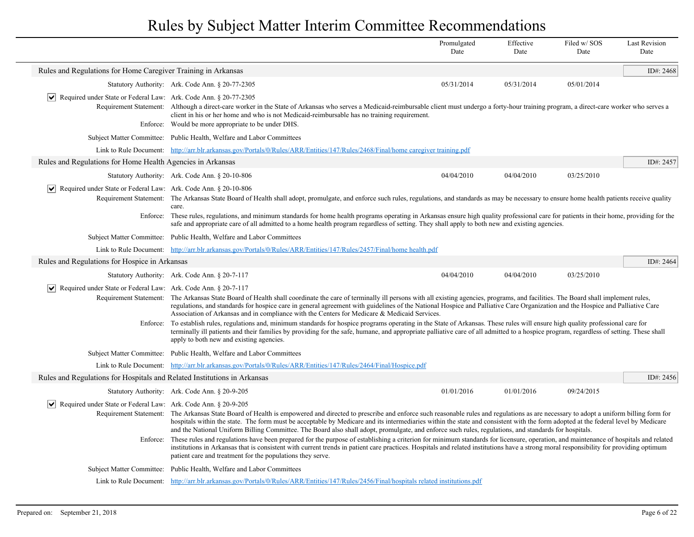| Rules and Regulations for Home Caregiver Training in Arkansas<br>Statutory Authority: Ark. Code Ann. § 20-77-2305<br>05/31/2014<br>05/31/2014<br>05/01/2014<br>$ \mathbf{v} $ Required under State or Federal Law: Ark. Code Ann. § 20-77-2305<br>Requirement Statement: Although a direct-care worker in the State of Arkansas who serves a Medicaid-reimbursable client must undergo a forty-hour training program, a direct-care worker who serves a<br>client in his or her home and who is not Medicaid-reimbursable has no training requirement.<br>Would be more appropriate to be under DHS.<br>Enforce:<br>Subject Matter Committee: Public Health, Welfare and Labor Committees<br>Link to Rule Document: http://arr.blr.arkansas.gov/Portals/0/Rules/ARR/Entities/147/Rules/2468/Final/home caregiver training.pdf<br>Rules and Regulations for Home Health Agencies in Arkansas<br>04/04/2010<br>04/04/2010<br>03/25/2010<br>Statutory Authority: Ark. Code Ann. § 20-10-806<br>Required under State or Federal Law: Ark. Code Ann. § 20-10-806<br>$ \bm{\vee} $<br>Requirement Statement: The Arkansas State Board of Health shall adopt, promulgate, and enforce such rules, regulations, and standards as may be necessary to ensure home health patients receive quality<br>care.<br>Enforce:<br>These rules, regulations, and minimum standards for home health programs operating in Arkansas ensure high quality professional care for patients in their home, providing for the<br>safe and appropriate care of all admitted to a home health program regardless of setting. They shall apply to both new and existing agencies.<br>Subject Matter Committee: Public Health, Welfare and Labor Committees<br>Link to Rule Document: http://arr.blr.arkansas.gov/Portals/0/Rules/ARR/Entities/147/Rules/2457/Final/home health.pdf<br>Rules and Regulations for Hospice in Arkansas<br>03/25/2010<br>Statutory Authority: Ark. Code Ann. § 20-7-117<br>04/04/2010<br>04/04/2010<br>$ \mathbf{v} $ Required under State or Federal Law: Ark. Code Ann. § 20-7-117<br>Requirement Statement:<br>The Arkansas State Board of Health shall coordinate the care of terminally ill persons with all existing agencies, programs, and facilities. The Board shall implement rules,<br>regulations, and standards for hospice care in general agreement with guidelines of the National Hospice and Palliative Care Organization and the Hospice and Palliative Care<br>Association of Arkansas and in compliance with the Centers for Medicare & Medicaid Services.<br>To establish rules, regulations and, minimum standards for hospice programs operating in the State of Arkansas. These rules will ensure high quality professional care for<br>Enforce:<br>terminally ill patients and their families by providing for the safe, humane, and appropriate palliative care of all admitted to a hospice program, regardless of setting. These shall<br>apply to both new and existing agencies.<br>Subject Matter Committee: Public Health, Welfare and Labor Committees<br>Link to Rule Document: http://arr.blr.arkansas.gov/Portals/0/Rules/ARR/Entities/147/Rules/2464/Final/Hospice.pdf<br>Rules and Regulations for Hospitals and Related Institutions in Arkansas<br>01/01/2016<br>01/01/2016<br>09/24/2015<br>Statutory Authority: Ark. Code Ann. § 20-9-205<br>$ \mathbf{v} $ Required under State or Federal Law: Ark. Code Ann. § 20-9-205<br>Requirement Statement: The Arkansas State Board of Health is empowered and directed to prescribe and enforce such reasonable rules and regulations as are necessary to adopt a uniform billing form for<br>hospitals within the state. The form must be acceptable by Medicare and its intermediaries within the state and consistent with the form adopted at the federal level by Medicare<br>and the National Uniform Billing Committee. The Board also shall adopt, promulgate, and enforce such rules, regulations, and standards for hospitals.<br>Enforce: These rules and regulations have been prepared for the purpose of establishing a criterion for minimum standards for licensure, operation, and maintenance of hospitals and related<br>institutions in Arkansas that is consistent with current trends in patient care practices. Hospitals and related institutions have a strong moral responsibility for providing optimum<br>patient care and treatment for the populations they serve.<br>Subject Matter Committee: Public Health, Welfare and Labor Committees<br>Link to Rule Document: http://arr.blr.arkansas.gov/Portals/0/Rules/ARR/Entities/147/Rules/2456/Final/hospitals related institutions.pdf |  | Promulgated<br>Date | Effective<br>Date | Filed w/SOS<br>Date | <b>Last Revision</b><br>Date |
|------------------------------------------------------------------------------------------------------------------------------------------------------------------------------------------------------------------------------------------------------------------------------------------------------------------------------------------------------------------------------------------------------------------------------------------------------------------------------------------------------------------------------------------------------------------------------------------------------------------------------------------------------------------------------------------------------------------------------------------------------------------------------------------------------------------------------------------------------------------------------------------------------------------------------------------------------------------------------------------------------------------------------------------------------------------------------------------------------------------------------------------------------------------------------------------------------------------------------------------------------------------------------------------------------------------------------------------------------------------------------------------------------------------------------------------------------------------------------------------------------------------------------------------------------------------------------------------------------------------------------------------------------------------------------------------------------------------------------------------------------------------------------------------------------------------------------------------------------------------------------------------------------------------------------------------------------------------------------------------------------------------------------------------------------------------------------------------------------------------------------------------------------------------------------------------------------------------------------------------------------------------------------------------------------------------------------------------------------------------------------------------------------------------------------------------------------------------------------------------------------------------------------------------------------------------------------------------------------------------------------------------------------------------------------------------------------------------------------------------------------------------------------------------------------------------------------------------------------------------------------------------------------------------------------------------------------------------------------------------------------------------------------------------------------------------------------------------------------------------------------------------------------------------------------------------------------------------------------------------------------------------------------------------------------------------------------------------------------------------------------------------------------------------------------------------------------------------------------------------------------------------------------------------------------------------------------------------------------------------------------------------------------------------------------------------------------------------------------------------------------------------------------------------------------------------------------------------------------------------------------------------------------------------------------------------------------------------------------------------------------------------------------------------------------------------------------------------------------------------------------------------------------------------------------------------------------------------------------------------------------------------------------------------------------------------------------------------------------------------------------------------------------------------------------------------------------------------------------------------------------------------------------------------------------------------------------------------------------------------------------------------------------------------------------------------------------------|--|---------------------|-------------------|---------------------|------------------------------|
|                                                                                                                                                                                                                                                                                                                                                                                                                                                                                                                                                                                                                                                                                                                                                                                                                                                                                                                                                                                                                                                                                                                                                                                                                                                                                                                                                                                                                                                                                                                                                                                                                                                                                                                                                                                                                                                                                                                                                                                                                                                                                                                                                                                                                                                                                                                                                                                                                                                                                                                                                                                                                                                                                                                                                                                                                                                                                                                                                                                                                                                                                                                                                                                                                                                                                                                                                                                                                                                                                                                                                                                                                                                                                                                                                                                                                                                                                                                                                                                                                                                                                                                                                                                                                                                                                                                                                                                                                                                                                                                                                                                                                                                                                                            |  |                     |                   |                     | ID#: 2468                    |
|                                                                                                                                                                                                                                                                                                                                                                                                                                                                                                                                                                                                                                                                                                                                                                                                                                                                                                                                                                                                                                                                                                                                                                                                                                                                                                                                                                                                                                                                                                                                                                                                                                                                                                                                                                                                                                                                                                                                                                                                                                                                                                                                                                                                                                                                                                                                                                                                                                                                                                                                                                                                                                                                                                                                                                                                                                                                                                                                                                                                                                                                                                                                                                                                                                                                                                                                                                                                                                                                                                                                                                                                                                                                                                                                                                                                                                                                                                                                                                                                                                                                                                                                                                                                                                                                                                                                                                                                                                                                                                                                                                                                                                                                                                            |  |                     |                   |                     |                              |
|                                                                                                                                                                                                                                                                                                                                                                                                                                                                                                                                                                                                                                                                                                                                                                                                                                                                                                                                                                                                                                                                                                                                                                                                                                                                                                                                                                                                                                                                                                                                                                                                                                                                                                                                                                                                                                                                                                                                                                                                                                                                                                                                                                                                                                                                                                                                                                                                                                                                                                                                                                                                                                                                                                                                                                                                                                                                                                                                                                                                                                                                                                                                                                                                                                                                                                                                                                                                                                                                                                                                                                                                                                                                                                                                                                                                                                                                                                                                                                                                                                                                                                                                                                                                                                                                                                                                                                                                                                                                                                                                                                                                                                                                                                            |  |                     |                   |                     |                              |
|                                                                                                                                                                                                                                                                                                                                                                                                                                                                                                                                                                                                                                                                                                                                                                                                                                                                                                                                                                                                                                                                                                                                                                                                                                                                                                                                                                                                                                                                                                                                                                                                                                                                                                                                                                                                                                                                                                                                                                                                                                                                                                                                                                                                                                                                                                                                                                                                                                                                                                                                                                                                                                                                                                                                                                                                                                                                                                                                                                                                                                                                                                                                                                                                                                                                                                                                                                                                                                                                                                                                                                                                                                                                                                                                                                                                                                                                                                                                                                                                                                                                                                                                                                                                                                                                                                                                                                                                                                                                                                                                                                                                                                                                                                            |  |                     |                   |                     |                              |
|                                                                                                                                                                                                                                                                                                                                                                                                                                                                                                                                                                                                                                                                                                                                                                                                                                                                                                                                                                                                                                                                                                                                                                                                                                                                                                                                                                                                                                                                                                                                                                                                                                                                                                                                                                                                                                                                                                                                                                                                                                                                                                                                                                                                                                                                                                                                                                                                                                                                                                                                                                                                                                                                                                                                                                                                                                                                                                                                                                                                                                                                                                                                                                                                                                                                                                                                                                                                                                                                                                                                                                                                                                                                                                                                                                                                                                                                                                                                                                                                                                                                                                                                                                                                                                                                                                                                                                                                                                                                                                                                                                                                                                                                                                            |  |                     |                   |                     |                              |
|                                                                                                                                                                                                                                                                                                                                                                                                                                                                                                                                                                                                                                                                                                                                                                                                                                                                                                                                                                                                                                                                                                                                                                                                                                                                                                                                                                                                                                                                                                                                                                                                                                                                                                                                                                                                                                                                                                                                                                                                                                                                                                                                                                                                                                                                                                                                                                                                                                                                                                                                                                                                                                                                                                                                                                                                                                                                                                                                                                                                                                                                                                                                                                                                                                                                                                                                                                                                                                                                                                                                                                                                                                                                                                                                                                                                                                                                                                                                                                                                                                                                                                                                                                                                                                                                                                                                                                                                                                                                                                                                                                                                                                                                                                            |  |                     |                   |                     | ID#: 2457                    |
|                                                                                                                                                                                                                                                                                                                                                                                                                                                                                                                                                                                                                                                                                                                                                                                                                                                                                                                                                                                                                                                                                                                                                                                                                                                                                                                                                                                                                                                                                                                                                                                                                                                                                                                                                                                                                                                                                                                                                                                                                                                                                                                                                                                                                                                                                                                                                                                                                                                                                                                                                                                                                                                                                                                                                                                                                                                                                                                                                                                                                                                                                                                                                                                                                                                                                                                                                                                                                                                                                                                                                                                                                                                                                                                                                                                                                                                                                                                                                                                                                                                                                                                                                                                                                                                                                                                                                                                                                                                                                                                                                                                                                                                                                                            |  |                     |                   |                     |                              |
|                                                                                                                                                                                                                                                                                                                                                                                                                                                                                                                                                                                                                                                                                                                                                                                                                                                                                                                                                                                                                                                                                                                                                                                                                                                                                                                                                                                                                                                                                                                                                                                                                                                                                                                                                                                                                                                                                                                                                                                                                                                                                                                                                                                                                                                                                                                                                                                                                                                                                                                                                                                                                                                                                                                                                                                                                                                                                                                                                                                                                                                                                                                                                                                                                                                                                                                                                                                                                                                                                                                                                                                                                                                                                                                                                                                                                                                                                                                                                                                                                                                                                                                                                                                                                                                                                                                                                                                                                                                                                                                                                                                                                                                                                                            |  |                     |                   |                     |                              |
|                                                                                                                                                                                                                                                                                                                                                                                                                                                                                                                                                                                                                                                                                                                                                                                                                                                                                                                                                                                                                                                                                                                                                                                                                                                                                                                                                                                                                                                                                                                                                                                                                                                                                                                                                                                                                                                                                                                                                                                                                                                                                                                                                                                                                                                                                                                                                                                                                                                                                                                                                                                                                                                                                                                                                                                                                                                                                                                                                                                                                                                                                                                                                                                                                                                                                                                                                                                                                                                                                                                                                                                                                                                                                                                                                                                                                                                                                                                                                                                                                                                                                                                                                                                                                                                                                                                                                                                                                                                                                                                                                                                                                                                                                                            |  |                     |                   |                     |                              |
|                                                                                                                                                                                                                                                                                                                                                                                                                                                                                                                                                                                                                                                                                                                                                                                                                                                                                                                                                                                                                                                                                                                                                                                                                                                                                                                                                                                                                                                                                                                                                                                                                                                                                                                                                                                                                                                                                                                                                                                                                                                                                                                                                                                                                                                                                                                                                                                                                                                                                                                                                                                                                                                                                                                                                                                                                                                                                                                                                                                                                                                                                                                                                                                                                                                                                                                                                                                                                                                                                                                                                                                                                                                                                                                                                                                                                                                                                                                                                                                                                                                                                                                                                                                                                                                                                                                                                                                                                                                                                                                                                                                                                                                                                                            |  |                     |                   |                     |                              |
|                                                                                                                                                                                                                                                                                                                                                                                                                                                                                                                                                                                                                                                                                                                                                                                                                                                                                                                                                                                                                                                                                                                                                                                                                                                                                                                                                                                                                                                                                                                                                                                                                                                                                                                                                                                                                                                                                                                                                                                                                                                                                                                                                                                                                                                                                                                                                                                                                                                                                                                                                                                                                                                                                                                                                                                                                                                                                                                                                                                                                                                                                                                                                                                                                                                                                                                                                                                                                                                                                                                                                                                                                                                                                                                                                                                                                                                                                                                                                                                                                                                                                                                                                                                                                                                                                                                                                                                                                                                                                                                                                                                                                                                                                                            |  |                     |                   |                     |                              |
|                                                                                                                                                                                                                                                                                                                                                                                                                                                                                                                                                                                                                                                                                                                                                                                                                                                                                                                                                                                                                                                                                                                                                                                                                                                                                                                                                                                                                                                                                                                                                                                                                                                                                                                                                                                                                                                                                                                                                                                                                                                                                                                                                                                                                                                                                                                                                                                                                                                                                                                                                                                                                                                                                                                                                                                                                                                                                                                                                                                                                                                                                                                                                                                                                                                                                                                                                                                                                                                                                                                                                                                                                                                                                                                                                                                                                                                                                                                                                                                                                                                                                                                                                                                                                                                                                                                                                                                                                                                                                                                                                                                                                                                                                                            |  |                     |                   |                     | ID#: 2464                    |
|                                                                                                                                                                                                                                                                                                                                                                                                                                                                                                                                                                                                                                                                                                                                                                                                                                                                                                                                                                                                                                                                                                                                                                                                                                                                                                                                                                                                                                                                                                                                                                                                                                                                                                                                                                                                                                                                                                                                                                                                                                                                                                                                                                                                                                                                                                                                                                                                                                                                                                                                                                                                                                                                                                                                                                                                                                                                                                                                                                                                                                                                                                                                                                                                                                                                                                                                                                                                                                                                                                                                                                                                                                                                                                                                                                                                                                                                                                                                                                                                                                                                                                                                                                                                                                                                                                                                                                                                                                                                                                                                                                                                                                                                                                            |  |                     |                   |                     |                              |
|                                                                                                                                                                                                                                                                                                                                                                                                                                                                                                                                                                                                                                                                                                                                                                                                                                                                                                                                                                                                                                                                                                                                                                                                                                                                                                                                                                                                                                                                                                                                                                                                                                                                                                                                                                                                                                                                                                                                                                                                                                                                                                                                                                                                                                                                                                                                                                                                                                                                                                                                                                                                                                                                                                                                                                                                                                                                                                                                                                                                                                                                                                                                                                                                                                                                                                                                                                                                                                                                                                                                                                                                                                                                                                                                                                                                                                                                                                                                                                                                                                                                                                                                                                                                                                                                                                                                                                                                                                                                                                                                                                                                                                                                                                            |  |                     |                   |                     |                              |
|                                                                                                                                                                                                                                                                                                                                                                                                                                                                                                                                                                                                                                                                                                                                                                                                                                                                                                                                                                                                                                                                                                                                                                                                                                                                                                                                                                                                                                                                                                                                                                                                                                                                                                                                                                                                                                                                                                                                                                                                                                                                                                                                                                                                                                                                                                                                                                                                                                                                                                                                                                                                                                                                                                                                                                                                                                                                                                                                                                                                                                                                                                                                                                                                                                                                                                                                                                                                                                                                                                                                                                                                                                                                                                                                                                                                                                                                                                                                                                                                                                                                                                                                                                                                                                                                                                                                                                                                                                                                                                                                                                                                                                                                                                            |  |                     |                   |                     |                              |
|                                                                                                                                                                                                                                                                                                                                                                                                                                                                                                                                                                                                                                                                                                                                                                                                                                                                                                                                                                                                                                                                                                                                                                                                                                                                                                                                                                                                                                                                                                                                                                                                                                                                                                                                                                                                                                                                                                                                                                                                                                                                                                                                                                                                                                                                                                                                                                                                                                                                                                                                                                                                                                                                                                                                                                                                                                                                                                                                                                                                                                                                                                                                                                                                                                                                                                                                                                                                                                                                                                                                                                                                                                                                                                                                                                                                                                                                                                                                                                                                                                                                                                                                                                                                                                                                                                                                                                                                                                                                                                                                                                                                                                                                                                            |  |                     |                   |                     |                              |
|                                                                                                                                                                                                                                                                                                                                                                                                                                                                                                                                                                                                                                                                                                                                                                                                                                                                                                                                                                                                                                                                                                                                                                                                                                                                                                                                                                                                                                                                                                                                                                                                                                                                                                                                                                                                                                                                                                                                                                                                                                                                                                                                                                                                                                                                                                                                                                                                                                                                                                                                                                                                                                                                                                                                                                                                                                                                                                                                                                                                                                                                                                                                                                                                                                                                                                                                                                                                                                                                                                                                                                                                                                                                                                                                                                                                                                                                                                                                                                                                                                                                                                                                                                                                                                                                                                                                                                                                                                                                                                                                                                                                                                                                                                            |  |                     |                   |                     | ID#: $2456$                  |
|                                                                                                                                                                                                                                                                                                                                                                                                                                                                                                                                                                                                                                                                                                                                                                                                                                                                                                                                                                                                                                                                                                                                                                                                                                                                                                                                                                                                                                                                                                                                                                                                                                                                                                                                                                                                                                                                                                                                                                                                                                                                                                                                                                                                                                                                                                                                                                                                                                                                                                                                                                                                                                                                                                                                                                                                                                                                                                                                                                                                                                                                                                                                                                                                                                                                                                                                                                                                                                                                                                                                                                                                                                                                                                                                                                                                                                                                                                                                                                                                                                                                                                                                                                                                                                                                                                                                                                                                                                                                                                                                                                                                                                                                                                            |  |                     |                   |                     |                              |
|                                                                                                                                                                                                                                                                                                                                                                                                                                                                                                                                                                                                                                                                                                                                                                                                                                                                                                                                                                                                                                                                                                                                                                                                                                                                                                                                                                                                                                                                                                                                                                                                                                                                                                                                                                                                                                                                                                                                                                                                                                                                                                                                                                                                                                                                                                                                                                                                                                                                                                                                                                                                                                                                                                                                                                                                                                                                                                                                                                                                                                                                                                                                                                                                                                                                                                                                                                                                                                                                                                                                                                                                                                                                                                                                                                                                                                                                                                                                                                                                                                                                                                                                                                                                                                                                                                                                                                                                                                                                                                                                                                                                                                                                                                            |  |                     |                   |                     |                              |
|                                                                                                                                                                                                                                                                                                                                                                                                                                                                                                                                                                                                                                                                                                                                                                                                                                                                                                                                                                                                                                                                                                                                                                                                                                                                                                                                                                                                                                                                                                                                                                                                                                                                                                                                                                                                                                                                                                                                                                                                                                                                                                                                                                                                                                                                                                                                                                                                                                                                                                                                                                                                                                                                                                                                                                                                                                                                                                                                                                                                                                                                                                                                                                                                                                                                                                                                                                                                                                                                                                                                                                                                                                                                                                                                                                                                                                                                                                                                                                                                                                                                                                                                                                                                                                                                                                                                                                                                                                                                                                                                                                                                                                                                                                            |  |                     |                   |                     |                              |
|                                                                                                                                                                                                                                                                                                                                                                                                                                                                                                                                                                                                                                                                                                                                                                                                                                                                                                                                                                                                                                                                                                                                                                                                                                                                                                                                                                                                                                                                                                                                                                                                                                                                                                                                                                                                                                                                                                                                                                                                                                                                                                                                                                                                                                                                                                                                                                                                                                                                                                                                                                                                                                                                                                                                                                                                                                                                                                                                                                                                                                                                                                                                                                                                                                                                                                                                                                                                                                                                                                                                                                                                                                                                                                                                                                                                                                                                                                                                                                                                                                                                                                                                                                                                                                                                                                                                                                                                                                                                                                                                                                                                                                                                                                            |  |                     |                   |                     |                              |
|                                                                                                                                                                                                                                                                                                                                                                                                                                                                                                                                                                                                                                                                                                                                                                                                                                                                                                                                                                                                                                                                                                                                                                                                                                                                                                                                                                                                                                                                                                                                                                                                                                                                                                                                                                                                                                                                                                                                                                                                                                                                                                                                                                                                                                                                                                                                                                                                                                                                                                                                                                                                                                                                                                                                                                                                                                                                                                                                                                                                                                                                                                                                                                                                                                                                                                                                                                                                                                                                                                                                                                                                                                                                                                                                                                                                                                                                                                                                                                                                                                                                                                                                                                                                                                                                                                                                                                                                                                                                                                                                                                                                                                                                                                            |  |                     |                   |                     |                              |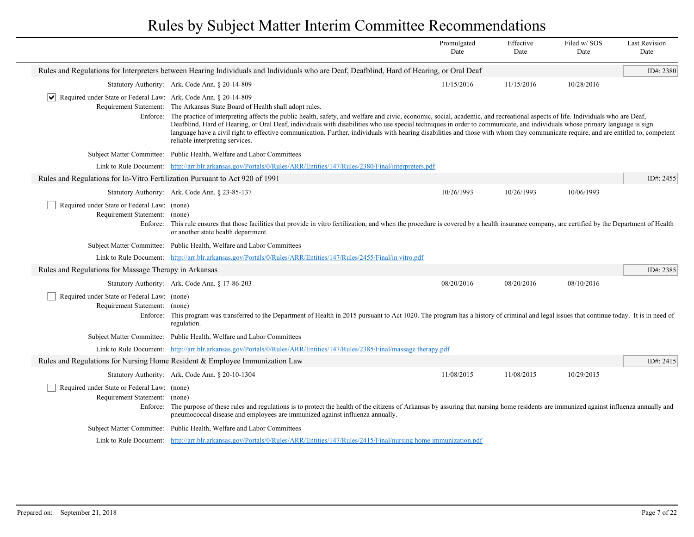|                                                                                          |                                                                                                                                                                                                                                                                                                                                                                                                                                                                                                                                                                                                 | Promulgated<br>Date | Effective<br>Date | Filed w/SOS<br>Date | <b>Last Revision</b><br>Date |
|------------------------------------------------------------------------------------------|-------------------------------------------------------------------------------------------------------------------------------------------------------------------------------------------------------------------------------------------------------------------------------------------------------------------------------------------------------------------------------------------------------------------------------------------------------------------------------------------------------------------------------------------------------------------------------------------------|---------------------|-------------------|---------------------|------------------------------|
|                                                                                          | Rules and Regulations for Interpreters between Hearing Individuals and Individuals who are Deaf, Deafblind, Hard of Hearing, or Oral Deaf                                                                                                                                                                                                                                                                                                                                                                                                                                                       |                     |                   |                     | ID#: 2380                    |
|                                                                                          | Statutory Authority: Ark. Code Ann. § 20-14-809                                                                                                                                                                                                                                                                                                                                                                                                                                                                                                                                                 | 11/15/2016          | 11/15/2016        | 10/28/2016          |                              |
| $ \mathbf{v} $ Required under State or Federal Law: Ark. Code Ann. § 20-14-809           |                                                                                                                                                                                                                                                                                                                                                                                                                                                                                                                                                                                                 |                     |                   |                     |                              |
|                                                                                          | Requirement Statement: The Arkansas State Board of Health shall adopt rules.                                                                                                                                                                                                                                                                                                                                                                                                                                                                                                                    |                     |                   |                     |                              |
|                                                                                          | Enforce: The practice of interpreting affects the public health, safety, and welfare and civic, economic, social, academic, and recreational aspects of life. Individuals who are Deaf,<br>Deafblind, Hard of Hearing, or Oral Deaf, individuals with disabilities who use special techniques in order to communicate, and individuals whose primary language is sign<br>language have a civil right to effective communication. Further, individuals with hearing disabilities and those with whom they communicate require, and are entitled to, competent<br>reliable interpreting services. |                     |                   |                     |                              |
|                                                                                          | Subject Matter Committee: Public Health, Welfare and Labor Committees                                                                                                                                                                                                                                                                                                                                                                                                                                                                                                                           |                     |                   |                     |                              |
|                                                                                          | Link to Rule Document: http://arr.blr.arkansas.gov/Portals/0/Rules/ARR/Entities/147/Rules/2380/Final/interpreters.pdf                                                                                                                                                                                                                                                                                                                                                                                                                                                                           |                     |                   |                     |                              |
| Rules and Regulations for In-Vitro Fertilization Pursuant to Act 920 of 1991             |                                                                                                                                                                                                                                                                                                                                                                                                                                                                                                                                                                                                 |                     |                   |                     | ID#: 2455                    |
|                                                                                          | Statutory Authority: Ark. Code Ann. § 23-85-137                                                                                                                                                                                                                                                                                                                                                                                                                                                                                                                                                 | 10/26/1993          | 10/26/1993        | 10/06/1993          |                              |
| Required under State or Federal Law: (none)<br>Requirement Statement: (none)             | Enforce: This rule ensures that those facilities that provide in vitro fertilization, and when the procedure is covered by a health insurance company, are certified by the Department of Health<br>or another state health department.                                                                                                                                                                                                                                                                                                                                                         |                     |                   |                     |                              |
|                                                                                          | Subject Matter Committee: Public Health, Welfare and Labor Committees                                                                                                                                                                                                                                                                                                                                                                                                                                                                                                                           |                     |                   |                     |                              |
|                                                                                          | Link to Rule Document: http://arr.blr.arkansas.gov/Portals/0/Rules/ARR/Entities/147/Rules/2455/Final/in vitro.pdf                                                                                                                                                                                                                                                                                                                                                                                                                                                                               |                     |                   |                     |                              |
| Rules and Regulations for Massage Therapy in Arkansas                                    |                                                                                                                                                                                                                                                                                                                                                                                                                                                                                                                                                                                                 |                     |                   |                     | ID#: 2385                    |
|                                                                                          | Statutory Authority: Ark. Code Ann. § 17-86-203                                                                                                                                                                                                                                                                                                                                                                                                                                                                                                                                                 | 08/20/2016          | 08/20/2016        | 08/10/2016          |                              |
| Required under State or Federal Law: (none)<br>Requirement Statement: (none)<br>Enforce: | This program was transferred to the Department of Health in 2015 pursuant to Act 1020. The program has a history of criminal and legal issues that continue today. It is in need of<br>regulation.                                                                                                                                                                                                                                                                                                                                                                                              |                     |                   |                     |                              |
|                                                                                          | Subject Matter Committee: Public Health, Welfare and Labor Committees                                                                                                                                                                                                                                                                                                                                                                                                                                                                                                                           |                     |                   |                     |                              |
|                                                                                          | Link to Rule Document: http://arr.blr.arkansas.gov/Portals/0/Rules/ARR/Entities/147/Rules/2385/Final/massage therapy.pdf                                                                                                                                                                                                                                                                                                                                                                                                                                                                        |                     |                   |                     |                              |
|                                                                                          | Rules and Regulations for Nursing Home Resident & Employee Immunization Law                                                                                                                                                                                                                                                                                                                                                                                                                                                                                                                     |                     |                   |                     | ID#: 2415                    |
|                                                                                          | Statutory Authority: Ark. Code Ann. § 20-10-1304                                                                                                                                                                                                                                                                                                                                                                                                                                                                                                                                                | 11/08/2015          | 11/08/2015        | 10/29/2015          |                              |
| Required under State or Federal Law: (none)<br>Requirement Statement: (none)             | Enforce: The purpose of these rules and regulations is to protect the health of the citizens of Arkansas by assuring that nursing home residents are immunized against influenza annually and<br>pneumococcal disease and employees are immunized against influenza annually.                                                                                                                                                                                                                                                                                                                   |                     |                   |                     |                              |
|                                                                                          | Subject Matter Committee: Public Health, Welfare and Labor Committees                                                                                                                                                                                                                                                                                                                                                                                                                                                                                                                           |                     |                   |                     |                              |
|                                                                                          | Link to Rule Document: http://arr.blr.arkansas.gov/Portals/0/Rules/ARR/Entities/147/Rules/2415/Final/nursing home immunization.pdf                                                                                                                                                                                                                                                                                                                                                                                                                                                              |                     |                   |                     |                              |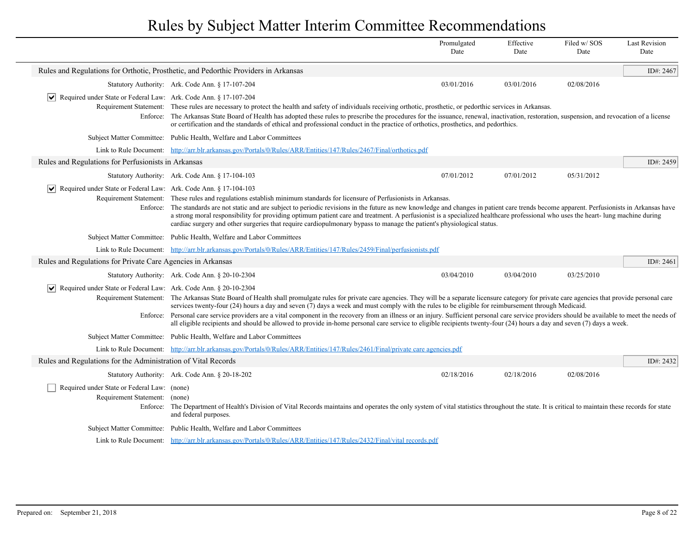|                                                                              |                                                                                                                                                                                                                                                                                                                                                                                                                                                                                                                                                                                                                                                                                                                                                   | Promulgated<br>Date | Effective<br>Date | Filed w/SOS<br>Date | <b>Last Revision</b><br>Date |
|------------------------------------------------------------------------------|---------------------------------------------------------------------------------------------------------------------------------------------------------------------------------------------------------------------------------------------------------------------------------------------------------------------------------------------------------------------------------------------------------------------------------------------------------------------------------------------------------------------------------------------------------------------------------------------------------------------------------------------------------------------------------------------------------------------------------------------------|---------------------|-------------------|---------------------|------------------------------|
|                                                                              | Rules and Regulations for Orthotic, Prosthetic, and Pedorthic Providers in Arkansas                                                                                                                                                                                                                                                                                                                                                                                                                                                                                                                                                                                                                                                               |                     |                   |                     | ID#: 2467                    |
|                                                                              | Statutory Authority: Ark. Code Ann. § 17-107-204                                                                                                                                                                                                                                                                                                                                                                                                                                                                                                                                                                                                                                                                                                  | 03/01/2016          | 03/01/2016        | 02/08/2016          |                              |
| <b>✓</b>   Required under State or Federal Law: Ark. Code Ann. § 17-107-204  | Requirement Statement: These rules are necessary to protect the health and safety of individuals receiving orthotic, prosthetic, or pedorthic services in Arkansas.<br>Enforce: The Arkansas State Board of Health has adopted these rules to prescribe the procedures for the issuance, renewal, inactivation, restoration, suspension, and revocation of a license<br>or certification and the standards of ethical and professional conduct in the practice of orthotics, prosthetics, and pedorthics.                                                                                                                                                                                                                                         |                     |                   |                     |                              |
|                                                                              | Subject Matter Committee: Public Health, Welfare and Labor Committees                                                                                                                                                                                                                                                                                                                                                                                                                                                                                                                                                                                                                                                                             |                     |                   |                     |                              |
|                                                                              | Link to Rule Document: http://arr.blr.arkansas.gov/Portals/0/Rules/ARR/Entities/147/Rules/2467/Final/orthotics.pdf                                                                                                                                                                                                                                                                                                                                                                                                                                                                                                                                                                                                                                |                     |                   |                     |                              |
| Rules and Regulations for Perfusionists in Arkansas                          |                                                                                                                                                                                                                                                                                                                                                                                                                                                                                                                                                                                                                                                                                                                                                   |                     |                   |                     | ID#: 2459                    |
|                                                                              | Statutory Authority: Ark. Code Ann. § 17-104-103                                                                                                                                                                                                                                                                                                                                                                                                                                                                                                                                                                                                                                                                                                  | 07/01/2012          | 07/01/2012        | 05/31/2012          |                              |
| Required under State or Federal Law: Ark. Code Ann. § 17-104-103<br>Enforce: | Requirement Statement: These rules and regulations establish minimum standards for licensure of Perfusionists in Arkansas.<br>The standards are not static and are subject to periodic revisions in the future as new knowledge and changes in patient care trends become apparent. Perfusionists in Arkansas have<br>a strong moral responsibility for providing optimum patient care and treatment. A perfusionist is a specialized healthcare professional who uses the heart- lung machine during<br>cardiac surgery and other surgeries that require cardiopulmonary bypass to manage the patient's physiological status.                                                                                                                    |                     |                   |                     |                              |
|                                                                              | Subject Matter Committee: Public Health, Welfare and Labor Committees                                                                                                                                                                                                                                                                                                                                                                                                                                                                                                                                                                                                                                                                             |                     |                   |                     |                              |
|                                                                              | Link to Rule Document: http://arr.blr.arkansas.gov/Portals/0/Rules/ARR/Entities/147/Rules/2459/Final/perfusionists.pdf                                                                                                                                                                                                                                                                                                                                                                                                                                                                                                                                                                                                                            |                     |                   |                     |                              |
| Rules and Regulations for Private Care Agencies in Arkansas                  |                                                                                                                                                                                                                                                                                                                                                                                                                                                                                                                                                                                                                                                                                                                                                   |                     |                   |                     | ID#: 2461                    |
|                                                                              | Statutory Authority: Ark. Code Ann. § 20-10-2304                                                                                                                                                                                                                                                                                                                                                                                                                                                                                                                                                                                                                                                                                                  | 03/04/2010          | 03/04/2010        | 03/25/2010          |                              |
| Required under State or Federal Law: Ark. Code Ann. § 20-10-2304             | Requirement Statement: The Arkansas State Board of Health shall promulgate rules for private care agencies. They will be a separate licensure category for private care agencies that provide personal care<br>services twenty-four $(24)$ hours a day and seven $(7)$ days a week and must comply with the rules to be eligible for reimbursement through Medicaid.<br>Enforce: Personal care service providers are a vital component in the recovery from an illness or an injury. Sufficient personal care service providers should be available to meet the needs of<br>all eligible recipients and should be allowed to provide in-home personal care service to eligible recipients twenty-four (24) hours a day and seven (7) days a week. |                     |                   |                     |                              |
|                                                                              | Subject Matter Committee: Public Health, Welfare and Labor Committees                                                                                                                                                                                                                                                                                                                                                                                                                                                                                                                                                                                                                                                                             |                     |                   |                     |                              |
|                                                                              | Link to Rule Document: http://arr.blr.arkansas.gov/Portals/0/Rules/ARR/Entities/147/Rules/2461/Final/private care agencies.pdf                                                                                                                                                                                                                                                                                                                                                                                                                                                                                                                                                                                                                    |                     |                   |                     |                              |
| Rules and Regulations for the Administration of Vital Records                |                                                                                                                                                                                                                                                                                                                                                                                                                                                                                                                                                                                                                                                                                                                                                   |                     |                   |                     | ID#: 2432                    |
|                                                                              | Statutory Authority: Ark. Code Ann. § 20-18-202                                                                                                                                                                                                                                                                                                                                                                                                                                                                                                                                                                                                                                                                                                   | 02/18/2016          | 02/18/2016        | 02/08/2016          |                              |
| Required under State or Federal Law: (none)<br>Requirement Statement: (none) | Enforce: The Department of Health's Division of Vital Records maintains and operates the only system of vital statistics throughout the state. It is critical to maintain these records for state<br>and federal purposes.                                                                                                                                                                                                                                                                                                                                                                                                                                                                                                                        |                     |                   |                     |                              |
|                                                                              | Subject Matter Committee: Public Health, Welfare and Labor Committees                                                                                                                                                                                                                                                                                                                                                                                                                                                                                                                                                                                                                                                                             |                     |                   |                     |                              |
|                                                                              | Link to Rule Document: http://arr.blr.arkansas.gov/Portals/0/Rules/ARR/Entities/147/Rules/2432/Final/vital records.pdf                                                                                                                                                                                                                                                                                                                                                                                                                                                                                                                                                                                                                            |                     |                   |                     |                              |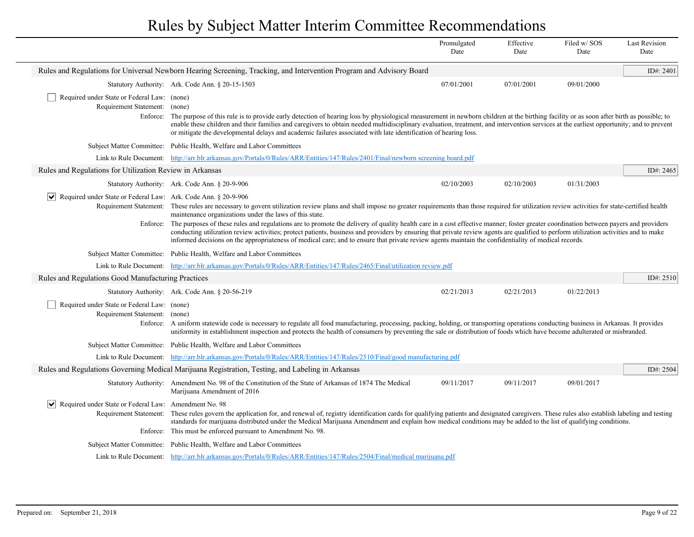|                                                                                           |                                                                                                                                                                                                                                                                                                                                                                                                                                                                                                                                                                                                                                                                                                                                                                                                                  | Promulgated<br>Date | Effective<br>Date | Filed w/SOS<br>Date | <b>Last Revision</b><br>Date |
|-------------------------------------------------------------------------------------------|------------------------------------------------------------------------------------------------------------------------------------------------------------------------------------------------------------------------------------------------------------------------------------------------------------------------------------------------------------------------------------------------------------------------------------------------------------------------------------------------------------------------------------------------------------------------------------------------------------------------------------------------------------------------------------------------------------------------------------------------------------------------------------------------------------------|---------------------|-------------------|---------------------|------------------------------|
|                                                                                           | Rules and Regulations for Universal Newborn Hearing Screening, Tracking, and Intervention Program and Advisory Board                                                                                                                                                                                                                                                                                                                                                                                                                                                                                                                                                                                                                                                                                             |                     |                   |                     | ID#: $2401$                  |
|                                                                                           | Statutory Authority: Ark. Code Ann. § 20-15-1503                                                                                                                                                                                                                                                                                                                                                                                                                                                                                                                                                                                                                                                                                                                                                                 | 07/01/2001          | 07/01/2001        | 09/01/2000          |                              |
| Required under State or Federal Law: (none)<br>Requirement Statement: (none)              | Enforce: The purpose of this rule is to provide early detection of hearing loss by physiological measurement in newborn children at the birthing facility or as soon after birth as possible; to<br>enable these children and their families and caregivers to obtain needed multidisciplinary evaluation, treatment, and intervention services at the earliest opportunity; and to prevent<br>or mitigate the developmental delays and academic failures associated with late identification of hearing loss.                                                                                                                                                                                                                                                                                                   |                     |                   |                     |                              |
|                                                                                           | Subject Matter Committee: Public Health, Welfare and Labor Committees                                                                                                                                                                                                                                                                                                                                                                                                                                                                                                                                                                                                                                                                                                                                            |                     |                   |                     |                              |
|                                                                                           | Link to Rule Document: http://arr.blr.arkansas.gov/Portals/0/Rules/ARR/Entities/147/Rules/2401/Final/newborn screening board.pdf                                                                                                                                                                                                                                                                                                                                                                                                                                                                                                                                                                                                                                                                                 |                     |                   |                     |                              |
| Rules and Regulations for Utilization Review in Arkansas                                  |                                                                                                                                                                                                                                                                                                                                                                                                                                                                                                                                                                                                                                                                                                                                                                                                                  |                     |                   |                     | ID#: 2465                    |
|                                                                                           | Statutory Authority: Ark. Code Ann. § 20-9-906                                                                                                                                                                                                                                                                                                                                                                                                                                                                                                                                                                                                                                                                                                                                                                   | 02/10/2003          | 02/10/2003        | 01/31/2003          |                              |
| $ \mathbf{v} $ Required under State or Federal Law: Ark. Code Ann. § 20-9-906<br>Enforce: | Requirement Statement: These rules are necessary to govern utilization review plans and shall impose no greater requirements than those required for utilization review activities for state-certified health<br>maintenance organizations under the laws of this state.<br>The purposes of these rules and regulations are to promote the delivery of quality health care in a cost effective manner; foster greater coordination between payers and providers<br>conducting utilization review activities; protect patients, business and providers by ensuring that private review agents are qualified to perform utilization activities and to make<br>informed decisions on the appropriateness of medical care; and to ensure that private review agents maintain the confidentiality of medical records. |                     |                   |                     |                              |
|                                                                                           | Subject Matter Committee: Public Health, Welfare and Labor Committees                                                                                                                                                                                                                                                                                                                                                                                                                                                                                                                                                                                                                                                                                                                                            |                     |                   |                     |                              |
|                                                                                           | Link to Rule Document: http://arr.blr.arkansas.gov/Portals/0/Rules/ARR/Entities/147/Rules/2465/Final/utilization review.pdf                                                                                                                                                                                                                                                                                                                                                                                                                                                                                                                                                                                                                                                                                      |                     |                   |                     |                              |
| Rules and Regulations Good Manufacturing Practices                                        |                                                                                                                                                                                                                                                                                                                                                                                                                                                                                                                                                                                                                                                                                                                                                                                                                  |                     |                   |                     | ID#: 2510                    |
|                                                                                           | Statutory Authority: Ark. Code Ann. § 20-56-219                                                                                                                                                                                                                                                                                                                                                                                                                                                                                                                                                                                                                                                                                                                                                                  | 02/21/2013          | 02/21/2013        | 01/22/2013          |                              |
| Required under State or Federal Law: (none)<br>Requirement Statement: (none)              | Enforce: A uniform statewide code is necessary to regulate all food manufacturing, processing, packing, holding, or transporting operations conducting business in Arkansas. It provides<br>uniformity in establishment inspection and protects the health of consumers by preventing the sale or distribution of foods which have become adulterated or misbranded.                                                                                                                                                                                                                                                                                                                                                                                                                                             |                     |                   |                     |                              |
|                                                                                           | Subject Matter Committee: Public Health, Welfare and Labor Committees                                                                                                                                                                                                                                                                                                                                                                                                                                                                                                                                                                                                                                                                                                                                            |                     |                   |                     |                              |
|                                                                                           | Link to Rule Document: http://arr.blr.arkansas.gov/Portals/0/Rules/ARR/Entities/147/Rules/2510/Final/good manufacturing.pdf                                                                                                                                                                                                                                                                                                                                                                                                                                                                                                                                                                                                                                                                                      |                     |                   |                     |                              |
|                                                                                           | Rules and Regulations Governing Medical Marijuana Registration, Testing, and Labeling in Arkansas                                                                                                                                                                                                                                                                                                                                                                                                                                                                                                                                                                                                                                                                                                                |                     |                   |                     | ID#: 2504                    |
|                                                                                           | Statutory Authority: Amendment No. 98 of the Constitution of the State of Arkansas of 1874 The Medical<br>Marijuana Amendment of 2016                                                                                                                                                                                                                                                                                                                                                                                                                                                                                                                                                                                                                                                                            | 09/11/2017          | 09/11/2017        | 09/01/2017          |                              |
| Required under State or Federal Law: Amendment No. 98<br>∣V∣<br>Requirement Statement:    | These rules govern the application for, and renewal of, registry identification cards for qualifying patients and designated caregivers. These rules also establish labeling and testing<br>standards for marijuana distributed under the Medical Marijuana Amendment and explain how medical conditions may be added to the list of qualifying conditions.<br>Enforce: This must be enforced pursuant to Amendment No. 98.                                                                                                                                                                                                                                                                                                                                                                                      |                     |                   |                     |                              |
|                                                                                           | Subject Matter Committee: Public Health, Welfare and Labor Committees                                                                                                                                                                                                                                                                                                                                                                                                                                                                                                                                                                                                                                                                                                                                            |                     |                   |                     |                              |
|                                                                                           | Link to Rule Document: http://arr.blr.arkansas.gov/Portals/0/Rules/ARR/Entities/147/Rules/2504/Final/medical marijuana.pdf                                                                                                                                                                                                                                                                                                                                                                                                                                                                                                                                                                                                                                                                                       |                     |                   |                     |                              |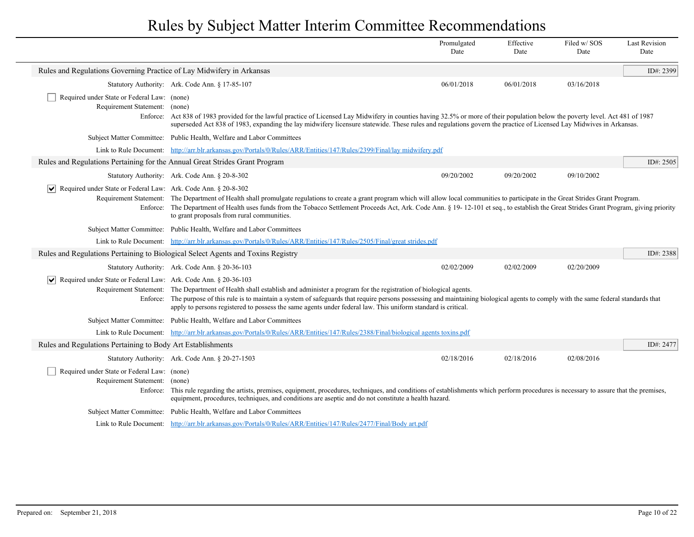|                                                                                       |                                                                                                                                                                                                                                                                                                                                                                                                                                                 | Promulgated<br>Date | Effective<br>Date | Filed w/SOS<br>Date | <b>Last Revision</b><br>Date |
|---------------------------------------------------------------------------------------|-------------------------------------------------------------------------------------------------------------------------------------------------------------------------------------------------------------------------------------------------------------------------------------------------------------------------------------------------------------------------------------------------------------------------------------------------|---------------------|-------------------|---------------------|------------------------------|
| Rules and Regulations Governing Practice of Lay Midwifery in Arkansas                 |                                                                                                                                                                                                                                                                                                                                                                                                                                                 |                     |                   |                     | ID#: 2399                    |
|                                                                                       | Statutory Authority: Ark. Code Ann. § 17-85-107                                                                                                                                                                                                                                                                                                                                                                                                 | 06/01/2018          | 06/01/2018        | 03/16/2018          |                              |
| Required under State or Federal Law: (none)<br>Requirement Statement: (none)          | Enforce: Act 838 of 1983 provided for the lawful practice of Licensed Lay Midwifery in counties having 32.5% or more of their population below the poverty level. Act 481 of 1987<br>superseded Act 838 of 1983, expanding the lay midwifery licensure statewide. These rules and regulations govern the practice of Licensed Lay Midwives in Arkansas.                                                                                         |                     |                   |                     |                              |
|                                                                                       | Subject Matter Committee: Public Health, Welfare and Labor Committees                                                                                                                                                                                                                                                                                                                                                                           |                     |                   |                     |                              |
|                                                                                       | Link to Rule Document: http://arr.blr.arkansas.gov/Portals/0/Rules/ARR/Entities/147/Rules/2399/Final/lay midwifery.pdf                                                                                                                                                                                                                                                                                                                          |                     |                   |                     |                              |
| Rules and Regulations Pertaining for the Annual Great Strides Grant Program           |                                                                                                                                                                                                                                                                                                                                                                                                                                                 |                     |                   |                     | ID#: $2505$                  |
|                                                                                       | Statutory Authority: Ark. Code Ann. § 20-8-302                                                                                                                                                                                                                                                                                                                                                                                                  | 09/20/2002          | 09/20/2002        | 09/10/2002          |                              |
| Required under State or Federal Law: Ark. Code Ann. § 20-8-302<br>$ \bm{\mathsf{v}} $ | Requirement Statement: The Department of Health shall promulgate regulations to create a grant program which will allow local communities to participate in the Great Strides Grant Program.<br>Enforce: The Department of Health uses funds from the Tobacco Settlement Proceeds Act, Ark. Code Ann. § 19-12-101 et seq., to establish the Great Strides Grant Program, giving priority<br>to grant proposals from rural communities.          |                     |                   |                     |                              |
|                                                                                       | Subject Matter Committee: Public Health, Welfare and Labor Committees                                                                                                                                                                                                                                                                                                                                                                           |                     |                   |                     |                              |
|                                                                                       | Link to Rule Document: http://arr.blr.arkansas.gov/Portals/0/Rules/ARR/Entities/147/Rules/2505/Final/great strides.pdf                                                                                                                                                                                                                                                                                                                          |                     |                   |                     |                              |
|                                                                                       | Rules and Regulations Pertaining to Biological Select Agents and Toxins Registry                                                                                                                                                                                                                                                                                                                                                                |                     |                   |                     | ID#: 2388                    |
|                                                                                       | Statutory Authority: Ark. Code Ann. § 20-36-103                                                                                                                                                                                                                                                                                                                                                                                                 | 02/02/2009          | 02/02/2009        | 02/20/2009          |                              |
| $ \mathsf{v} $<br>Required under State or Federal Law: Ark. Code Ann. § 20-36-103     | Requirement Statement: The Department of Health shall establish and administer a program for the registration of biological agents.<br>Enforce: The purpose of this rule is to maintain a system of safeguards that require persons possessing and maintaining biological agents to comply with the same federal standards that<br>apply to persons registered to possess the same agents under federal law. This uniform standard is critical. |                     |                   |                     |                              |
|                                                                                       | Subject Matter Committee: Public Health, Welfare and Labor Committees                                                                                                                                                                                                                                                                                                                                                                           |                     |                   |                     |                              |
|                                                                                       | Link to Rule Document: http://arr.blr.arkansas.gov/Portals/0/Rules/ARR/Entities/147/Rules/2388/Final/biological agents toxins.pdf                                                                                                                                                                                                                                                                                                               |                     |                   |                     |                              |
| Rules and Regulations Pertaining to Body Art Establishments                           |                                                                                                                                                                                                                                                                                                                                                                                                                                                 |                     |                   |                     | ID#: 2477                    |
|                                                                                       | Statutory Authority: Ark. Code Ann. § 20-27-1503                                                                                                                                                                                                                                                                                                                                                                                                | 02/18/2016          | 02/18/2016        | 02/08/2016          |                              |
| Required under State or Federal Law: (none)<br>Requirement Statement: (none)          | Enforce: This rule regarding the artists, premises, equipment, procedures, techniques, and conditions of establishments which perform procedures is necessary to assure that the premises,<br>equipment, procedures, techniques, and conditions are aseptic and do not constitute a health hazard.                                                                                                                                              |                     |                   |                     |                              |
|                                                                                       | Subject Matter Committee: Public Health, Welfare and Labor Committees                                                                                                                                                                                                                                                                                                                                                                           |                     |                   |                     |                              |
|                                                                                       | Link to Rule Document: http://arr.blr.arkansas.gov/Portals/0/Rules/ARR/Entities/147/Rules/2477/Final/Body art.pdf                                                                                                                                                                                                                                                                                                                               |                     |                   |                     |                              |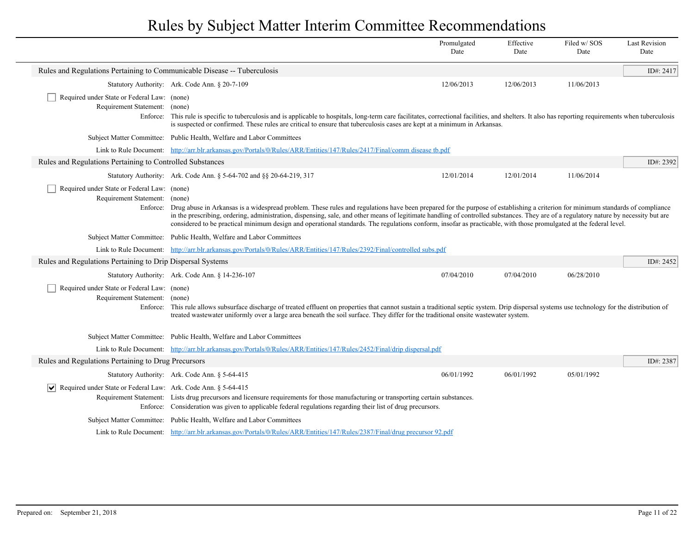|                                                                                          |                                                                                                                                                                                                                                                                                                                                                                                                                                                                                                                                                        | Promulgated<br>Date | Effective<br>Date | Filed w/SOS<br>Date | <b>Last Revision</b><br>Date |
|------------------------------------------------------------------------------------------|--------------------------------------------------------------------------------------------------------------------------------------------------------------------------------------------------------------------------------------------------------------------------------------------------------------------------------------------------------------------------------------------------------------------------------------------------------------------------------------------------------------------------------------------------------|---------------------|-------------------|---------------------|------------------------------|
| Rules and Regulations Pertaining to Communicable Disease -- Tuberculosis                 |                                                                                                                                                                                                                                                                                                                                                                                                                                                                                                                                                        |                     |                   |                     | ID#: 2417                    |
|                                                                                          | Statutory Authority: Ark. Code Ann. § 20-7-109                                                                                                                                                                                                                                                                                                                                                                                                                                                                                                         | 12/06/2013          | 12/06/2013        | 11/06/2013          |                              |
| Required under State or Federal Law: (none)<br>Requirement Statement: (none)             | Enforce: This rule is specific to tuberculosis and is applicable to hospitals, long-term care facilitates, correctional facilities, and shelters. It also has reporting requirements when tuberculosis<br>is suspected or confirmed. These rules are critical to ensure that tuberculosis cases are kept at a minimum in Arkansas.                                                                                                                                                                                                                     |                     |                   |                     |                              |
|                                                                                          | Subject Matter Committee: Public Health, Welfare and Labor Committees                                                                                                                                                                                                                                                                                                                                                                                                                                                                                  |                     |                   |                     |                              |
|                                                                                          | Link to Rule Document: http://arr.blr.arkansas.gov/Portals/0/Rules/ARR/Entities/147/Rules/2417/Final/comm disease tb.pdf                                                                                                                                                                                                                                                                                                                                                                                                                               |                     |                   |                     |                              |
| Rules and Regulations Pertaining to Controlled Substances                                |                                                                                                                                                                                                                                                                                                                                                                                                                                                                                                                                                        |                     |                   |                     | ID#: 2392                    |
|                                                                                          | Statutory Authority: Ark. Code Ann. § 5-64-702 and §§ 20-64-219, 317                                                                                                                                                                                                                                                                                                                                                                                                                                                                                   | 12/01/2014          | 12/01/2014        | 11/06/2014          |                              |
| Required under State or Federal Law: (none)<br>Requirement Statement: (none)             | Enforce: Drug abuse in Arkansas is a widespread problem. These rules and regulations have been prepared for the purpose of establishing a criterion for minimum standards of compliance<br>in the prescribing, ordering, administration, dispensing, sale, and other means of legitimate handling of controlled substances. They are of a regulatory nature by necessity but are<br>considered to be practical minimum design and operational standards. The regulations conform, insofar as practicable, with those promulgated at the federal level. |                     |                   |                     |                              |
|                                                                                          | Subject Matter Committee: Public Health, Welfare and Labor Committees                                                                                                                                                                                                                                                                                                                                                                                                                                                                                  |                     |                   |                     |                              |
|                                                                                          | Link to Rule Document: http://arr.blr.arkansas.gov/Portals/0/Rules/ARR/Entities/147/Rules/2392/Final/controlled subs.pdf                                                                                                                                                                                                                                                                                                                                                                                                                               |                     |                   |                     |                              |
| Rules and Regulations Pertaining to Drip Dispersal Systems                               |                                                                                                                                                                                                                                                                                                                                                                                                                                                                                                                                                        |                     |                   |                     | ID#: 2452                    |
|                                                                                          | Statutory Authority: Ark. Code Ann. § 14-236-107                                                                                                                                                                                                                                                                                                                                                                                                                                                                                                       | 07/04/2010          | 07/04/2010        | 06/28/2010          |                              |
| Required under State or Federal Law: (none)<br>Requirement Statement: (none)<br>Enforce: | This rule allows subsurface discharge of treated effluent on properties that cannot sustain a traditional septic system. Drip dispersal systems use technology for the distribution of<br>treated wastewater uniformly over a large area beneath the soil surface. They differ for the traditional onsite wastewater system.                                                                                                                                                                                                                           |                     |                   |                     |                              |
|                                                                                          | Subject Matter Committee: Public Health, Welfare and Labor Committees                                                                                                                                                                                                                                                                                                                                                                                                                                                                                  |                     |                   |                     |                              |
|                                                                                          | Link to Rule Document: http://arr.blr.arkansas.gov/Portals/0/Rules/ARR/Entities/147/Rules/2452/Final/drip dispersal.pdf                                                                                                                                                                                                                                                                                                                                                                                                                                |                     |                   |                     |                              |
| Rules and Regulations Pertaining to Drug Precursors                                      |                                                                                                                                                                                                                                                                                                                                                                                                                                                                                                                                                        |                     |                   |                     | ID#: 2387                    |
|                                                                                          | Statutory Authority: Ark. Code Ann. § 5-64-415                                                                                                                                                                                                                                                                                                                                                                                                                                                                                                         | 06/01/1992          | 06/01/1992        | 05/01/1992          |                              |
| Required under State or Federal Law: Ark. Code Ann. § 5-64-415<br>$ \bm{\mathsf{v}} $    | Requirement Statement: Lists drug precursors and licensure requirements for those manufacturing or transporting certain substances.<br>Enforce: Consideration was given to applicable federal regulations regarding their list of drug precursors.                                                                                                                                                                                                                                                                                                     |                     |                   |                     |                              |
|                                                                                          | Subject Matter Committee: Public Health, Welfare and Labor Committees                                                                                                                                                                                                                                                                                                                                                                                                                                                                                  |                     |                   |                     |                              |
|                                                                                          | Link to Rule Document: http://arr.blr.arkansas.gov/Portals/0/Rules/ARR/Entities/147/Rules/2387/Final/drug precursor 92.pdf                                                                                                                                                                                                                                                                                                                                                                                                                             |                     |                   |                     |                              |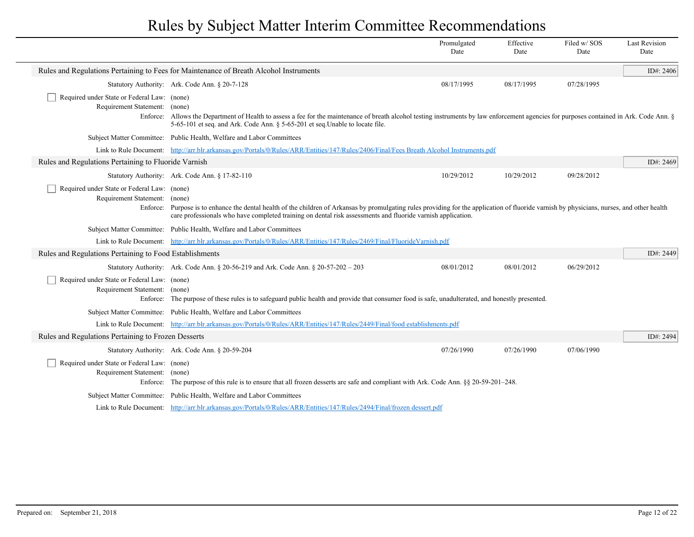|                                                                              |                                                                                                                                                                                                                                                                                                             | Promulgated<br>Date | Effective<br>Date | Filed w/SOS<br>Date | <b>Last Revision</b><br>Date |
|------------------------------------------------------------------------------|-------------------------------------------------------------------------------------------------------------------------------------------------------------------------------------------------------------------------------------------------------------------------------------------------------------|---------------------|-------------------|---------------------|------------------------------|
|                                                                              | Rules and Regulations Pertaining to Fees for Maintenance of Breath Alcohol Instruments                                                                                                                                                                                                                      |                     |                   |                     | ID#: 2406                    |
|                                                                              | Statutory Authority: Ark. Code Ann. § 20-7-128                                                                                                                                                                                                                                                              | 08/17/1995          | 08/17/1995        | 07/28/1995          |                              |
| Required under State or Federal Law: (none)<br>Requirement Statement: (none) | Enforce: Allows the Department of Health to assess a fee for the maintenance of breath alcohol testing instruments by law enforcement agencies for purposes contained in Ark. Code Ann. §<br>5-65-101 et seq. and Ark. Code Ann. § 5-65-201 et seq. Unable to locate file.                                  |                     |                   |                     |                              |
|                                                                              | Subject Matter Committee: Public Health, Welfare and Labor Committees                                                                                                                                                                                                                                       |                     |                   |                     |                              |
|                                                                              | Link to Rule Document: http://arr.blr.arkansas.gov/Portals/0/Rules/ARR/Entities/147/Rules/2406/Final/Fees Breath Alcohol Instruments.pdf                                                                                                                                                                    |                     |                   |                     |                              |
| Rules and Regulations Pertaining to Fluoride Varnish                         |                                                                                                                                                                                                                                                                                                             |                     |                   |                     | ID#: 2469                    |
|                                                                              | Statutory Authority: Ark. Code Ann. § 17-82-110                                                                                                                                                                                                                                                             | 10/29/2012          | 10/29/2012        | 09/28/2012          |                              |
| Required under State or Federal Law: (none)<br>Requirement Statement: (none) | Enforce: Purpose is to enhance the dental health of the children of Arkansas by promulgating rules providing for the application of fluoride varnish by physicians, nurses, and other health<br>care professionals who have completed training on dental risk assessments and fluoride varnish application. |                     |                   |                     |                              |
|                                                                              | Subject Matter Committee: Public Health, Welfare and Labor Committees                                                                                                                                                                                                                                       |                     |                   |                     |                              |
|                                                                              | Link to Rule Document: http://arr.blr.arkansas.gov/Portals/0/Rules/ARR/Entities/147/Rules/2469/Final/FluorideVarnish.pdf                                                                                                                                                                                    |                     |                   |                     |                              |
| Rules and Regulations Pertaining to Food Establishments                      |                                                                                                                                                                                                                                                                                                             |                     |                   |                     | ID#: 2449                    |
|                                                                              | Statutory Authority: Ark. Code Ann. $\S 20-56-219$ and Ark. Code Ann. $\S 20-57-202-203$                                                                                                                                                                                                                    | 08/01/2012          | 08/01/2012        | 06/29/2012          |                              |
| Required under State or Federal Law: (none)<br>Requirement Statement: (none) | Enforce: The purpose of these rules is to safeguard public health and provide that consumer food is safe, unadulterated, and honestly presented.                                                                                                                                                            |                     |                   |                     |                              |
|                                                                              | Subject Matter Committee: Public Health, Welfare and Labor Committees                                                                                                                                                                                                                                       |                     |                   |                     |                              |
|                                                                              | Link to Rule Document: http://arr.blr.arkansas.gov/Portals/0/Rules/ARR/Entities/147/Rules/2449/Final/food establishments.pdf                                                                                                                                                                                |                     |                   |                     |                              |
| Rules and Regulations Pertaining to Frozen Desserts                          |                                                                                                                                                                                                                                                                                                             |                     |                   |                     | ID#: 2494                    |
|                                                                              | Statutory Authority: Ark. Code Ann. § 20-59-204                                                                                                                                                                                                                                                             | 07/26/1990          | 07/26/1990        | 07/06/1990          |                              |
| Required under State or Federal Law: (none)<br>Requirement Statement:        | (none)<br>Enforce: The purpose of this rule is to ensure that all frozen desserts are safe and compliant with Ark. Code Ann. §§ 20-59-201–248.                                                                                                                                                              |                     |                   |                     |                              |
|                                                                              | Subject Matter Committee: Public Health, Welfare and Labor Committees                                                                                                                                                                                                                                       |                     |                   |                     |                              |
|                                                                              | Link to Rule Document: http://arr.blr.arkansas.gov/Portals/0/Rules/ARR/Entities/147/Rules/2494/Final/frozen dessert.pdf                                                                                                                                                                                     |                     |                   |                     |                              |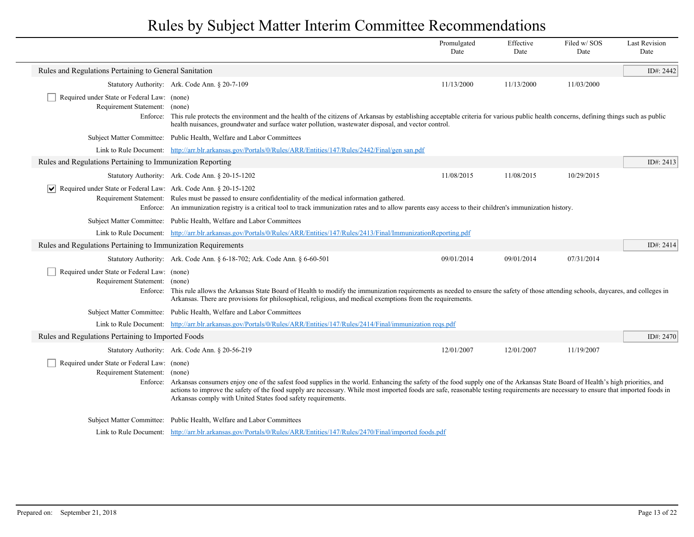|                                                                                 |                                                                                                                                                                                                                                                                                                                                                                                                                                                | Promulgated<br>Date | Effective<br>Date | Filed w/SOS<br>Date | <b>Last Revision</b><br>Date |
|---------------------------------------------------------------------------------|------------------------------------------------------------------------------------------------------------------------------------------------------------------------------------------------------------------------------------------------------------------------------------------------------------------------------------------------------------------------------------------------------------------------------------------------|---------------------|-------------------|---------------------|------------------------------|
| Rules and Regulations Pertaining to General Sanitation                          |                                                                                                                                                                                                                                                                                                                                                                                                                                                |                     |                   |                     | ID#: 2442                    |
|                                                                                 | Statutory Authority: Ark. Code Ann. § 20-7-109                                                                                                                                                                                                                                                                                                                                                                                                 | 11/13/2000          | 11/13/2000        | 11/03/2000          |                              |
| Required under State or Federal Law: (none)<br>Requirement Statement: (none)    | Enforce: This rule protects the environment and the health of the citizens of Arkansas by establishing acceptable criteria for various public health concerns, defining things such as public<br>health nuisances, groundwater and surface water pollution, wastewater disposal, and vector control.                                                                                                                                           |                     |                   |                     |                              |
|                                                                                 | Subject Matter Committee: Public Health, Welfare and Labor Committees                                                                                                                                                                                                                                                                                                                                                                          |                     |                   |                     |                              |
|                                                                                 | Link to Rule Document: http://arr.blr.arkansas.gov/Portals/0/Rules/ARR/Entities/147/Rules/2442/Final/gen san.pdf                                                                                                                                                                                                                                                                                                                               |                     |                   |                     |                              |
| Rules and Regulations Pertaining to Immunization Reporting                      |                                                                                                                                                                                                                                                                                                                                                                                                                                                |                     |                   |                     | ID#: 2413                    |
|                                                                                 | Statutory Authority: Ark. Code Ann. § 20-15-1202                                                                                                                                                                                                                                                                                                                                                                                               | 11/08/2015          | 11/08/2015        | 10/29/2015          |                              |
| $ \mathbf{v} $ Required under State or Federal Law: Ark. Code Ann. § 20-15-1202 | Requirement Statement: Rules must be passed to ensure confidentiality of the medical information gathered.<br>Enforce: An immunization registry is a critical tool to track immunization rates and to allow parents easy access to their children's immunization history.                                                                                                                                                                      |                     |                   |                     |                              |
|                                                                                 | Subject Matter Committee: Public Health, Welfare and Labor Committees                                                                                                                                                                                                                                                                                                                                                                          |                     |                   |                     |                              |
|                                                                                 | Link to Rule Document: http://arr.blr.arkansas.gov/Portals/0/Rules/ARR/Entities/147/Rules/2413/Final/ImmunizationReporting.pdf                                                                                                                                                                                                                                                                                                                 |                     |                   |                     |                              |
| Rules and Regulations Pertaining to Immunization Requirements                   |                                                                                                                                                                                                                                                                                                                                                                                                                                                |                     |                   |                     | ID#: 2414                    |
|                                                                                 | Statutory Authority: Ark. Code Ann. § 6-18-702; Ark. Code Ann. § 6-60-501                                                                                                                                                                                                                                                                                                                                                                      | 09/01/2014          | 09/01/2014        | 07/31/2014          |                              |
| Required under State or Federal Law: (none)<br>Requirement Statement: (none)    | Enforce: This rule allows the Arkansas State Board of Health to modify the immunization requirements as needed to ensure the safety of those attending schools, daycares, and colleges in<br>Arkansas. There are provisions for philosophical, religious, and medical exemptions from the requirements.                                                                                                                                        |                     |                   |                     |                              |
|                                                                                 | Subject Matter Committee: Public Health, Welfare and Labor Committees                                                                                                                                                                                                                                                                                                                                                                          |                     |                   |                     |                              |
|                                                                                 | Link to Rule Document: http://arr.blr.arkansas.gov/Portals/0/Rules/ARR/Entities/147/Rules/2414/Final/immunization regs.pdf                                                                                                                                                                                                                                                                                                                     |                     |                   |                     |                              |
| Rules and Regulations Pertaining to Imported Foods                              |                                                                                                                                                                                                                                                                                                                                                                                                                                                |                     |                   |                     | ID#: 2470                    |
|                                                                                 | Statutory Authority: Ark. Code Ann. § 20-56-219                                                                                                                                                                                                                                                                                                                                                                                                | 12/01/2007          | 12/01/2007        | 11/19/2007          |                              |
| Required under State or Federal Law: (none)<br>Requirement Statement: (none)    | Enforce: Arkansas consumers enjoy one of the safest food supplies in the world. Enhancing the safety of the food supply one of the Arkansas State Board of Health's high priorities, and<br>actions to improve the safety of the food supply are necessary. While most imported foods are safe, reasonable testing requirements are necessary to ensure that imported foods in<br>Arkansas comply with United States food safety requirements. |                     |                   |                     |                              |
|                                                                                 | Subject Matter Committee: Public Health, Welfare and Labor Committees                                                                                                                                                                                                                                                                                                                                                                          |                     |                   |                     |                              |
|                                                                                 | Link to Rule Document: http://arr.blr.arkansas.gov/Portals/0/Rules/ARR/Entities/147/Rules/2470/Final/imported foods.pdf                                                                                                                                                                                                                                                                                                                        |                     |                   |                     |                              |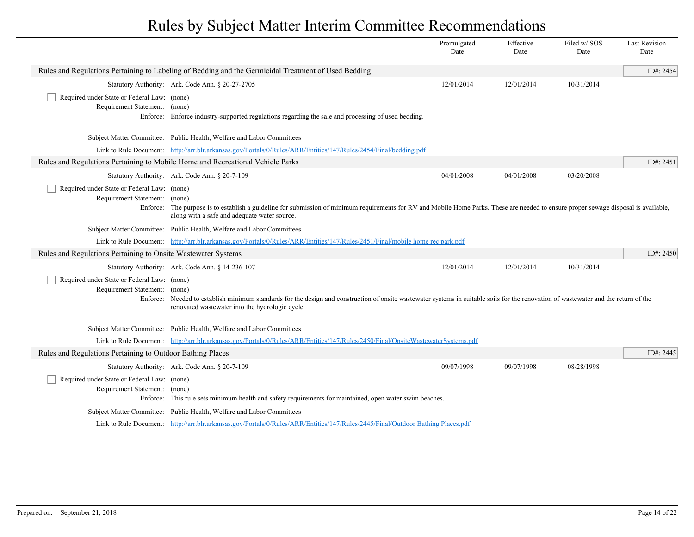|                                                                              |                                                                                                                                                                                                                                                 | Promulgated<br>Date | Effective<br>Date | Filed w/SOS<br>Date | <b>Last Revision</b><br>Date |
|------------------------------------------------------------------------------|-------------------------------------------------------------------------------------------------------------------------------------------------------------------------------------------------------------------------------------------------|---------------------|-------------------|---------------------|------------------------------|
|                                                                              | Rules and Regulations Pertaining to Labeling of Bedding and the Germicidal Treatment of Used Bedding                                                                                                                                            |                     |                   |                     | ID#: 2454                    |
|                                                                              | Statutory Authority: Ark. Code Ann. § 20-27-2705                                                                                                                                                                                                | 12/01/2014          | 12/01/2014        | 10/31/2014          |                              |
| Required under State or Federal Law: (none)<br>Requirement Statement: (none) | Enforce: Enforce industry-supported regulations regarding the sale and processing of used bedding.                                                                                                                                              |                     |                   |                     |                              |
|                                                                              | Subject Matter Committee: Public Health, Welfare and Labor Committees                                                                                                                                                                           |                     |                   |                     |                              |
|                                                                              | Link to Rule Document: http://arr.blr.arkansas.gov/Portals/0/Rules/ARR/Entities/147/Rules/2454/Final/bedding.pdf                                                                                                                                |                     |                   |                     |                              |
|                                                                              | Rules and Regulations Pertaining to Mobile Home and Recreational Vehicle Parks                                                                                                                                                                  |                     |                   |                     | ID#: 2451                    |
|                                                                              | Statutory Authority: Ark. Code Ann. § 20-7-109                                                                                                                                                                                                  | 04/01/2008          | 04/01/2008        | 03/20/2008          |                              |
| Required under State or Federal Law: (none)<br>Requirement Statement:        | (none)<br>Enforce: The purpose is to establish a guideline for submission of minimum requirements for RV and Mobile Home Parks. These are needed to ensure proper sewage disposal is available,<br>along with a safe and adequate water source. |                     |                   |                     |                              |
|                                                                              | Subject Matter Committee: Public Health, Welfare and Labor Committees                                                                                                                                                                           |                     |                   |                     |                              |
|                                                                              | Link to Rule Document: http://arr.blr.arkansas.gov/Portals/0/Rules/ARR/Entities/147/Rules/2451/Final/mobile home rec park.pdf                                                                                                                   |                     |                   |                     |                              |
| Rules and Regulations Pertaining to Onsite Wastewater Systems                |                                                                                                                                                                                                                                                 |                     |                   |                     | ID#: $2450$                  |
|                                                                              | Statutory Authority: Ark. Code Ann. § 14-236-107                                                                                                                                                                                                | 12/01/2014          | 12/01/2014        | 10/31/2014          |                              |
| Required under State or Federal Law: (none)<br>Requirement Statement: (none) | Enforce: Needed to establish minimum standards for the design and construction of onsite wastewater systems in suitable soils for the renovation of wastewater and the return of the<br>renovated wastewater into the hydrologic cycle.         |                     |                   |                     |                              |
|                                                                              | Subject Matter Committee: Public Health, Welfare and Labor Committees                                                                                                                                                                           |                     |                   |                     |                              |
|                                                                              | Link to Rule Document: http://arr.blr.arkansas.gov/Portals/0/Rules/ARR/Entities/147/Rules/2450/Final/OnsiteWastewaterSystems.pdf                                                                                                                |                     |                   |                     |                              |
| Rules and Regulations Pertaining to Outdoor Bathing Places                   |                                                                                                                                                                                                                                                 |                     |                   |                     | ID#: 2445                    |
|                                                                              | Statutory Authority: Ark. Code Ann. § 20-7-109                                                                                                                                                                                                  | 09/07/1998          | 09/07/1998        | 08/28/1998          |                              |
| Required under State or Federal Law: (none)<br>Requirement Statement: (none) | Enforce: This rule sets minimum health and safety requirements for maintained, open water swim beaches.                                                                                                                                         |                     |                   |                     |                              |
|                                                                              | Subject Matter Committee: Public Health, Welfare and Labor Committees                                                                                                                                                                           |                     |                   |                     |                              |
|                                                                              | Link to Rule Document: http://arr.blr.arkansas.gov/Portals/0/Rules/ARR/Entities/147/Rules/2445/Final/Outdoor Bathing Places.pdf                                                                                                                 |                     |                   |                     |                              |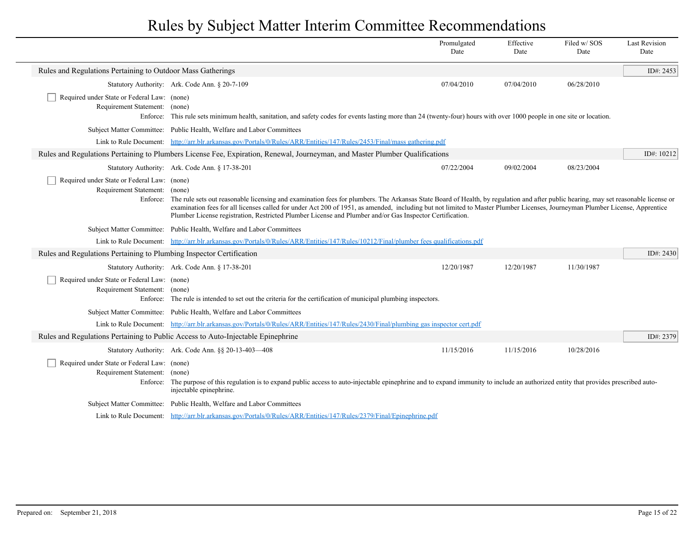|                                                                                          |                                                                                                                                                                                                                                                                                                                                                                                                                                                                                 | Promulgated<br>Date | Effective<br>Date | Filed w/SOS<br>Date | <b>Last Revision</b><br>Date |
|------------------------------------------------------------------------------------------|---------------------------------------------------------------------------------------------------------------------------------------------------------------------------------------------------------------------------------------------------------------------------------------------------------------------------------------------------------------------------------------------------------------------------------------------------------------------------------|---------------------|-------------------|---------------------|------------------------------|
| Rules and Regulations Pertaining to Outdoor Mass Gatherings                              |                                                                                                                                                                                                                                                                                                                                                                                                                                                                                 |                     |                   |                     | ID#: 2453                    |
|                                                                                          | Statutory Authority: Ark. Code Ann. § 20-7-109                                                                                                                                                                                                                                                                                                                                                                                                                                  | 07/04/2010          | 07/04/2010        | 06/28/2010          |                              |
| Required under State or Federal Law: (none)<br>Requirement Statement: (none)             | Enforce: This rule sets minimum health, sanitation, and safety codes for events lasting more than 24 (twenty-four) hours with over 1000 people in one site or location.                                                                                                                                                                                                                                                                                                         |                     |                   |                     |                              |
|                                                                                          | Subject Matter Committee: Public Health, Welfare and Labor Committees                                                                                                                                                                                                                                                                                                                                                                                                           |                     |                   |                     |                              |
|                                                                                          | Link to Rule Document: http://arr.blr.arkansas.gov/Portals/0/Rules/ARR/Entities/147/Rules/2453/Final/mass gathering.pdf                                                                                                                                                                                                                                                                                                                                                         |                     |                   |                     |                              |
|                                                                                          | Rules and Regulations Pertaining to Plumbers License Fee, Expiration, Renewal, Journeyman, and Master Plumber Qualifications                                                                                                                                                                                                                                                                                                                                                    |                     |                   |                     | ID#: 10212                   |
|                                                                                          | Statutory Authority: Ark. Code Ann. § 17-38-201                                                                                                                                                                                                                                                                                                                                                                                                                                 | 07/22/2004          | 09/02/2004        | 08/23/2004          |                              |
| Required under State or Federal Law: (none)<br>Requirement Statement: (none)<br>Enforce: | The rule sets out reasonable licensing and examination fees for plumbers. The Arkansas State Board of Health, by regulation and after public hearing, may set reasonable license or<br>examination fees for all licenses called for under Act 200 of 1951, as amended, including but not limited to Master Plumber Licenses, Journeyman Plumber License, Apprentice<br>Plumber License registration, Restricted Plumber License and Plumber and/or Gas Inspector Certification. |                     |                   |                     |                              |
|                                                                                          | Subject Matter Committee: Public Health, Welfare and Labor Committees                                                                                                                                                                                                                                                                                                                                                                                                           |                     |                   |                     |                              |
|                                                                                          | Link to Rule Document: http://arr.blr.arkansas.gov/Portals/0/Rules/ARR/Entities/147/Rules/10212/Final/plumber fees qualifications.pdf                                                                                                                                                                                                                                                                                                                                           |                     |                   |                     |                              |
| Rules and Regulations Pertaining to Plumbing Inspector Certification                     |                                                                                                                                                                                                                                                                                                                                                                                                                                                                                 |                     |                   |                     | ID#: 2430                    |
|                                                                                          | Statutory Authority: Ark. Code Ann. § 17-38-201                                                                                                                                                                                                                                                                                                                                                                                                                                 | 12/20/1987          | 12/20/1987        | 11/30/1987          |                              |
| Required under State or Federal Law: (none)<br>Requirement Statement:                    | (none)<br>Enforce: The rule is intended to set out the criteria for the certification of municipal plumbing inspectors.                                                                                                                                                                                                                                                                                                                                                         |                     |                   |                     |                              |
|                                                                                          | Subject Matter Committee: Public Health, Welfare and Labor Committees                                                                                                                                                                                                                                                                                                                                                                                                           |                     |                   |                     |                              |
|                                                                                          | Link to Rule Document: http://arr.blr.arkansas.gov/Portals/0/Rules/ARR/Entities/147/Rules/2430/Final/plumbing gas inspector cert.pdf                                                                                                                                                                                                                                                                                                                                            |                     |                   |                     |                              |
|                                                                                          | Rules and Regulations Pertaining to Public Access to Auto-Injectable Epinephrine                                                                                                                                                                                                                                                                                                                                                                                                |                     |                   |                     | ID#: 2379                    |
|                                                                                          | Statutory Authority: Ark. Code Ann. §§ 20-13-403-408                                                                                                                                                                                                                                                                                                                                                                                                                            | 11/15/2016          | 11/15/2016        | 10/28/2016          |                              |
| Required under State or Federal Law: (none)<br>Requirement Statement:<br>Enforce:        | (none)<br>The purpose of this regulation is to expand public access to auto-injectable epinephrine and to expand immunity to include an authorized entity that provides prescribed auto-<br>injectable epinephrine.                                                                                                                                                                                                                                                             |                     |                   |                     |                              |
|                                                                                          | Subject Matter Committee: Public Health, Welfare and Labor Committees                                                                                                                                                                                                                                                                                                                                                                                                           |                     |                   |                     |                              |
|                                                                                          | Link to Rule Document: http://arr.blr.arkansas.gov/Portals/0/Rules/ARR/Entities/147/Rules/2379/Final/Epinephrine.pdf                                                                                                                                                                                                                                                                                                                                                            |                     |                   |                     |                              |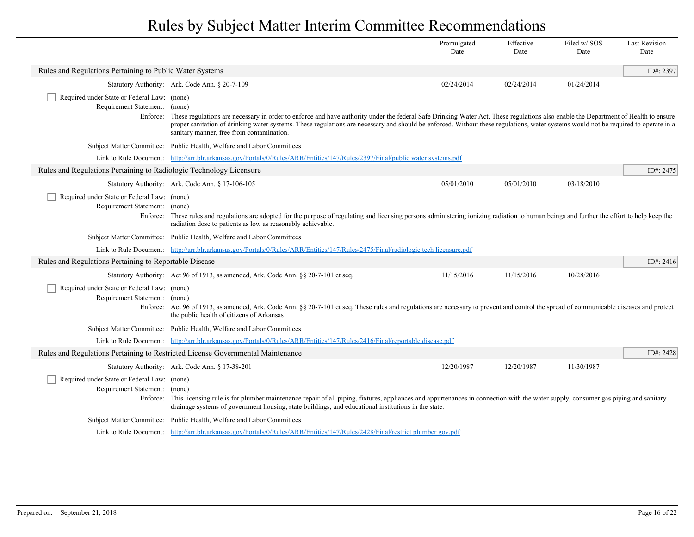|                                                                                          |                                                                                                                                                                                                                                                                                                                                                                                                                        | Promulgated<br>Date | Effective<br>Date | Filed w/SOS<br>Date | <b>Last Revision</b><br>Date |
|------------------------------------------------------------------------------------------|------------------------------------------------------------------------------------------------------------------------------------------------------------------------------------------------------------------------------------------------------------------------------------------------------------------------------------------------------------------------------------------------------------------------|---------------------|-------------------|---------------------|------------------------------|
| Rules and Regulations Pertaining to Public Water Systems                                 |                                                                                                                                                                                                                                                                                                                                                                                                                        |                     |                   |                     | ID#: 2397                    |
|                                                                                          | Statutory Authority: Ark. Code Ann. § 20-7-109                                                                                                                                                                                                                                                                                                                                                                         | 02/24/2014          | 02/24/2014        | 01/24/2014          |                              |
| Required under State or Federal Law: (none)<br>Requirement Statement: (none)<br>Enforce: | These regulations are necessary in order to enforce and have authority under the federal Safe Drinking Water Act. These regulations also enable the Department of Health to ensure<br>proper sanitation of drinking water systems. These regulations are necessary and should be enforced. Without these regulations, water systems would not be required to operate in a<br>sanitary manner, free from contamination. |                     |                   |                     |                              |
|                                                                                          | Subject Matter Committee: Public Health, Welfare and Labor Committees                                                                                                                                                                                                                                                                                                                                                  |                     |                   |                     |                              |
|                                                                                          | Link to Rule Document: http://arr.blr.arkansas.gov/Portals/0/Rules/ARR/Entities/147/Rules/2397/Final/public water systems.pdf                                                                                                                                                                                                                                                                                          |                     |                   |                     |                              |
| Rules and Regulations Pertaining to Radiologic Technology Licensure                      |                                                                                                                                                                                                                                                                                                                                                                                                                        |                     |                   |                     | ID#: 2475                    |
|                                                                                          | Statutory Authority: Ark. Code Ann. § 17-106-105                                                                                                                                                                                                                                                                                                                                                                       | 05/01/2010          | 05/01/2010        | 03/18/2010          |                              |
| Required under State or Federal Law: (none)<br>Requirement Statement: (none)             | Enforce: These rules and regulations are adopted for the purpose of regulating and licensing persons administering ionizing radiation to human beings and further the effort to help keep the<br>radiation dose to patients as low as reasonably achievable.                                                                                                                                                           |                     |                   |                     |                              |
|                                                                                          | Subject Matter Committee: Public Health, Welfare and Labor Committees                                                                                                                                                                                                                                                                                                                                                  |                     |                   |                     |                              |
|                                                                                          | Link to Rule Document: http://arr.blr.arkansas.gov/Portals/0/Rules/ARR/Entities/147/Rules/2475/Final/radiologic tech licensure.pdf                                                                                                                                                                                                                                                                                     |                     |                   |                     |                              |
| Rules and Regulations Pertaining to Reportable Disease                                   |                                                                                                                                                                                                                                                                                                                                                                                                                        |                     |                   |                     | ID#: 2416                    |
|                                                                                          | Statutory Authority: Act 96 of 1913, as amended, Ark. Code Ann. §§ 20-7-101 et seq.                                                                                                                                                                                                                                                                                                                                    | 11/15/2016          | 11/15/2016        | 10/28/2016          |                              |
| Required under State or Federal Law: (none)<br>Requirement Statement: (none)             | Enforce: Act 96 of 1913, as amended, Ark. Code Ann. §§ 20-7-101 et seq. These rules and regulations are necessary to prevent and control the spread of communicable diseases and protect<br>the public health of citizens of Arkansas                                                                                                                                                                                  |                     |                   |                     |                              |
|                                                                                          | Subject Matter Committee: Public Health, Welfare and Labor Committees                                                                                                                                                                                                                                                                                                                                                  |                     |                   |                     |                              |
|                                                                                          | Link to Rule Document: http://arr.blr.arkansas.gov/Portals/0/Rules/ARR/Entities/147/Rules/2416/Final/reportable disease.pdf                                                                                                                                                                                                                                                                                            |                     |                   |                     |                              |
|                                                                                          | Rules and Regulations Pertaining to Restricted License Governmental Maintenance                                                                                                                                                                                                                                                                                                                                        |                     |                   |                     | ID#: 2428                    |
|                                                                                          | Statutory Authority: Ark. Code Ann. § 17-38-201                                                                                                                                                                                                                                                                                                                                                                        | 12/20/1987          | 12/20/1987        | 11/30/1987          |                              |
| Required under State or Federal Law: (none)<br>Requirement Statement: (none)             | Enforce: This licensing rule is for plumber maintenance repair of all piping, fixtures, appliances and appurtenances in connection with the water supply, consumer gas piping and sanitary<br>drainage systems of government housing, state buildings, and educational institutions in the state.                                                                                                                      |                     |                   |                     |                              |
|                                                                                          | Subject Matter Committee: Public Health, Welfare and Labor Committees                                                                                                                                                                                                                                                                                                                                                  |                     |                   |                     |                              |
|                                                                                          | Link to Rule Document: http://arr.blr.arkansas.gov/Portals/0/Rules/ARR/Entities/147/Rules/2428/Final/restrict plumber gov.pdf                                                                                                                                                                                                                                                                                          |                     |                   |                     |                              |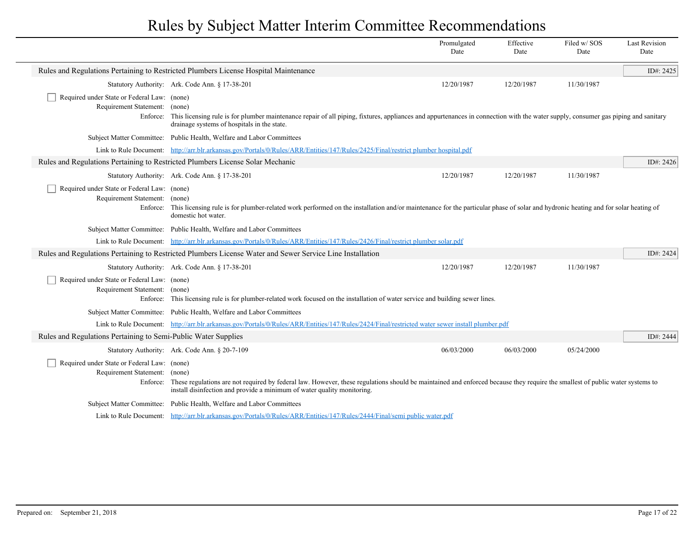|                                                                                   |                                                                                                                                                                                                                                                                  | Promulgated<br>Date | Effective<br>Date | Filed w/SOS<br>Date | <b>Last Revision</b><br>Date |
|-----------------------------------------------------------------------------------|------------------------------------------------------------------------------------------------------------------------------------------------------------------------------------------------------------------------------------------------------------------|---------------------|-------------------|---------------------|------------------------------|
|                                                                                   | Rules and Regulations Pertaining to Restricted Plumbers License Hospital Maintenance                                                                                                                                                                             |                     |                   |                     | ID#: 2425                    |
|                                                                                   | Statutory Authority: Ark. Code Ann. § 17-38-201                                                                                                                                                                                                                  | 12/20/1987          | 12/20/1987        | 11/30/1987          |                              |
| Required under State or Federal Law: (none)<br>Requirement Statement:             | (none)<br>Enforce: This licensing rule is for plumber maintenance repair of all piping, fixtures, appliances and appurtenances in connection with the water supply, consumer gas piping and sanitary<br>drainage systems of hospitals in the state.              |                     |                   |                     |                              |
|                                                                                   | Subject Matter Committee: Public Health, Welfare and Labor Committees                                                                                                                                                                                            |                     |                   |                     |                              |
|                                                                                   | Link to Rule Document: http://arr.blr.arkansas.gov/Portals/0/Rules/ARR/Entities/147/Rules/2425/Final/restrict plumber hospital.pdf                                                                                                                               |                     |                   |                     |                              |
|                                                                                   | Rules and Regulations Pertaining to Restricted Plumbers License Solar Mechanic                                                                                                                                                                                   |                     |                   |                     | ID#: 2426                    |
|                                                                                   | Statutory Authority: Ark. Code Ann. § 17-38-201                                                                                                                                                                                                                  | 12/20/1987          | 12/20/1987        | 11/30/1987          |                              |
| Required under State or Federal Law: (none)<br>Requirement Statement:<br>Enforce: | (none)<br>This licensing rule is for plumber-related work performed on the installation and/or maintenance for the particular phase of solar and hydronic heating and for solar heating of<br>domestic hot water.                                                |                     |                   |                     |                              |
|                                                                                   | Subject Matter Committee: Public Health, Welfare and Labor Committees                                                                                                                                                                                            |                     |                   |                     |                              |
|                                                                                   | Link to Rule Document: http://arr.blr.arkansas.gov/Portals/0/Rules/ARR/Entities/147/Rules/2426/Final/restrict plumber solar.pdf                                                                                                                                  |                     |                   |                     |                              |
|                                                                                   | Rules and Regulations Pertaining to Restricted Plumbers License Water and Sewer Service Line Installation                                                                                                                                                        |                     |                   |                     | ID#: 2424                    |
|                                                                                   | Statutory Authority: Ark. Code Ann. § 17-38-201                                                                                                                                                                                                                  | 12/20/1987          | 12/20/1987        | 11/30/1987          |                              |
| Required under State or Federal Law: (none)<br>Requirement Statement: (none)      | Enforce: This licensing rule is for plumber-related work focused on the installation of water service and building sewer lines.                                                                                                                                  |                     |                   |                     |                              |
|                                                                                   | Subject Matter Committee: Public Health, Welfare and Labor Committees                                                                                                                                                                                            |                     |                   |                     |                              |
|                                                                                   | Link to Rule Document: http://arr.blr.arkansas.gov/Portals/0/Rules/ARR/Entities/147/Rules/2424/Final/restricted water sewer install plumber.pdf                                                                                                                  |                     |                   |                     |                              |
| Rules and Regulations Pertaining to Semi-Public Water Supplies                    |                                                                                                                                                                                                                                                                  |                     |                   |                     | ID#: 2444                    |
|                                                                                   | Statutory Authority: Ark. Code Ann. § 20-7-109                                                                                                                                                                                                                   | 06/03/2000          | 06/03/2000        | 05/24/2000          |                              |
| Required under State or Federal Law: (none)<br>Requirement Statement: (none)      | Enforce: These regulations are not required by federal law. However, these regulations should be maintained and enforced because they require the smallest of public water systems to<br>install disinfection and provide a minimum of water quality monitoring. |                     |                   |                     |                              |
|                                                                                   | Subject Matter Committee: Public Health, Welfare and Labor Committees                                                                                                                                                                                            |                     |                   |                     |                              |
|                                                                                   | Link to Rule Document: http://arr.blr.arkansas.gov/Portals/0/Rules/ARR/Entities/147/Rules/2444/Final/semi public water.pdf                                                                                                                                       |                     |                   |                     |                              |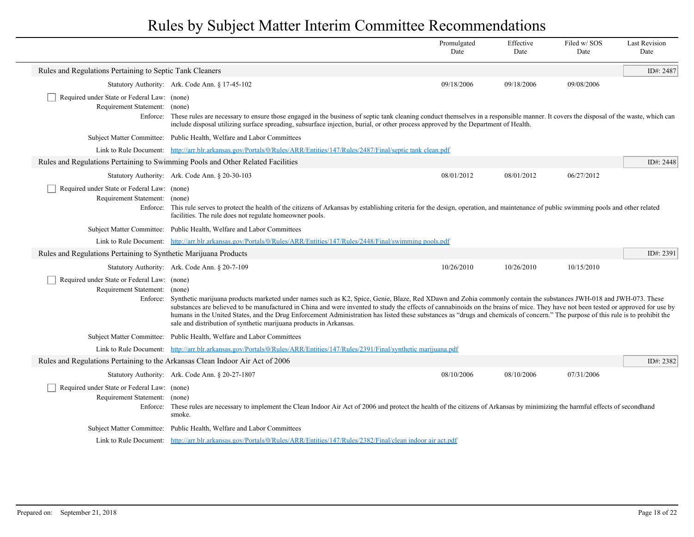|                                                                                          |                                                                                                                                                                                                                                                                                                                                                                                                                                                                                                                                                                                                                    | Promulgated<br>Date | Effective<br>Date | Filed w/SOS<br>Date | <b>Last Revision</b><br>Date |
|------------------------------------------------------------------------------------------|--------------------------------------------------------------------------------------------------------------------------------------------------------------------------------------------------------------------------------------------------------------------------------------------------------------------------------------------------------------------------------------------------------------------------------------------------------------------------------------------------------------------------------------------------------------------------------------------------------------------|---------------------|-------------------|---------------------|------------------------------|
| Rules and Regulations Pertaining to Septic Tank Cleaners                                 |                                                                                                                                                                                                                                                                                                                                                                                                                                                                                                                                                                                                                    |                     |                   |                     | ID#: 2487                    |
|                                                                                          | Statutory Authority: Ark. Code Ann. § 17-45-102                                                                                                                                                                                                                                                                                                                                                                                                                                                                                                                                                                    | 09/18/2006          | 09/18/2006        | 09/08/2006          |                              |
| Required under State or Federal Law: (none)<br>Requirement Statement: (none)             | Enforce: These rules are necessary to ensure those engaged in the business of septic tank cleaning conduct themselves in a responsible manner. It covers the disposal of the waste, which can<br>include disposal utilizing surface spreading, subsurface injection, burial, or other process approved by the Department of Health.                                                                                                                                                                                                                                                                                |                     |                   |                     |                              |
|                                                                                          | Subject Matter Committee: Public Health, Welfare and Labor Committees                                                                                                                                                                                                                                                                                                                                                                                                                                                                                                                                              |                     |                   |                     |                              |
|                                                                                          | Link to Rule Document: http://arr.blr.arkansas.gov/Portals/0/Rules/ARR/Entities/147/Rules/2487/Final/septic tank clean.pdf                                                                                                                                                                                                                                                                                                                                                                                                                                                                                         |                     |                   |                     |                              |
|                                                                                          | Rules and Regulations Pertaining to Swimming Pools and Other Related Facilities                                                                                                                                                                                                                                                                                                                                                                                                                                                                                                                                    |                     |                   |                     | ID#: 2448                    |
|                                                                                          | Statutory Authority: Ark. Code Ann. § 20-30-103                                                                                                                                                                                                                                                                                                                                                                                                                                                                                                                                                                    | 08/01/2012          | 08/01/2012        | 06/27/2012          |                              |
| Required under State or Federal Law: (none)<br>Requirement Statement: (none)<br>Enforce: | This rule serves to protect the health of the citizens of Arkansas by establishing criteria for the design, operation, and maintenance of public swimming pools and other related<br>facilities. The rule does not regulate homeowner pools.                                                                                                                                                                                                                                                                                                                                                                       |                     |                   |                     |                              |
|                                                                                          | Subject Matter Committee: Public Health, Welfare and Labor Committees                                                                                                                                                                                                                                                                                                                                                                                                                                                                                                                                              |                     |                   |                     |                              |
|                                                                                          | Link to Rule Document: http://arr.blr.arkansas.gov/Portals/0/Rules/ARR/Entities/147/Rules/2448/Final/swimming pools.pdf                                                                                                                                                                                                                                                                                                                                                                                                                                                                                            |                     |                   |                     |                              |
| Rules and Regulations Pertaining to Synthetic Marijuana Products                         |                                                                                                                                                                                                                                                                                                                                                                                                                                                                                                                                                                                                                    |                     |                   |                     | ID#: 2391                    |
|                                                                                          | Statutory Authority: Ark. Code Ann. § 20-7-109                                                                                                                                                                                                                                                                                                                                                                                                                                                                                                                                                                     | 10/26/2010          | 10/26/2010        | 10/15/2010          |                              |
| Required under State or Federal Law: (none)<br>Requirement Statement: (none)<br>Enforce: | Synthetic marijuana products marketed under names such as K2, Spice, Genie, Blaze, Red XDawn and Zohia commonly contain the substances JWH-018 and JWH-073. These<br>substances are believed to be manufactured in China and were invented to study the effects of cannabinoids on the brains of mice. They have not been tested or approved for use by<br>humans in the United States, and the Drug Enforcement Administration has listed these substances as "drugs and chemicals of concern." The purpose of this rule is to prohibit the<br>sale and distribution of synthetic marijuana products in Arkansas. |                     |                   |                     |                              |
|                                                                                          | Subject Matter Committee: Public Health, Welfare and Labor Committees                                                                                                                                                                                                                                                                                                                                                                                                                                                                                                                                              |                     |                   |                     |                              |
|                                                                                          | Link to Rule Document: http://arr.blr.arkansas.gov/Portals/0/Rules/ARR/Entities/147/Rules/2391/Final/synthetic marijuana.pdf                                                                                                                                                                                                                                                                                                                                                                                                                                                                                       |                     |                   |                     |                              |
| Rules and Regulations Pertaining to the Arkansas Clean Indoor Air Act of 2006            |                                                                                                                                                                                                                                                                                                                                                                                                                                                                                                                                                                                                                    |                     |                   |                     | ID#: 2382                    |
|                                                                                          | Statutory Authority: Ark. Code Ann. § 20-27-1807                                                                                                                                                                                                                                                                                                                                                                                                                                                                                                                                                                   | 08/10/2006          | 08/10/2006        | 07/31/2006          |                              |
| Required under State or Federal Law: (none)<br>Requirement Statement: (none)             | Enforce: These rules are necessary to implement the Clean Indoor Air Act of 2006 and protect the health of the citizens of Arkansas by minimizing the harmful effects of secondhand<br>smoke.                                                                                                                                                                                                                                                                                                                                                                                                                      |                     |                   |                     |                              |
|                                                                                          | Subject Matter Committee: Public Health, Welfare and Labor Committees                                                                                                                                                                                                                                                                                                                                                                                                                                                                                                                                              |                     |                   |                     |                              |
|                                                                                          | Link to Rule Document: http://arr.blr.arkansas.gov/Portals/0/Rules/ARR/Entities/147/Rules/2382/Final/clean indoor air act.pdf                                                                                                                                                                                                                                                                                                                                                                                                                                                                                      |                     |                   |                     |                              |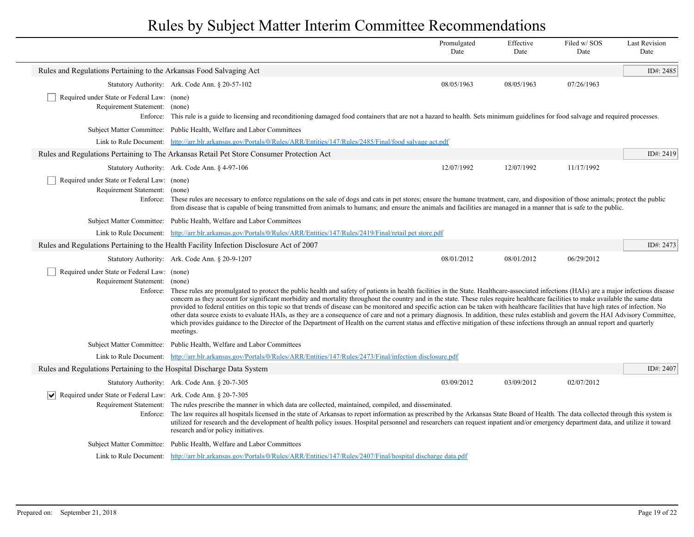|                                                                                           |                                                                                                                                                                                                                                                                                                                                                                                                                                                                                                                                                                                                                                                                                                                                                                                                                                                                                                                                                                                    | Promulgated<br>Date | Effective<br>Date | Filed w/SOS<br>Date | <b>Last Revision</b><br>Date |
|-------------------------------------------------------------------------------------------|------------------------------------------------------------------------------------------------------------------------------------------------------------------------------------------------------------------------------------------------------------------------------------------------------------------------------------------------------------------------------------------------------------------------------------------------------------------------------------------------------------------------------------------------------------------------------------------------------------------------------------------------------------------------------------------------------------------------------------------------------------------------------------------------------------------------------------------------------------------------------------------------------------------------------------------------------------------------------------|---------------------|-------------------|---------------------|------------------------------|
| Rules and Regulations Pertaining to the Arkansas Food Salvaging Act                       |                                                                                                                                                                                                                                                                                                                                                                                                                                                                                                                                                                                                                                                                                                                                                                                                                                                                                                                                                                                    |                     |                   |                     | ID#: 2485                    |
|                                                                                           | Statutory Authority: Ark. Code Ann. § 20-57-102                                                                                                                                                                                                                                                                                                                                                                                                                                                                                                                                                                                                                                                                                                                                                                                                                                                                                                                                    | 08/05/1963          | 08/05/1963        | 07/26/1963          |                              |
| Required under State or Federal Law: (none)<br>Requirement Statement: (none)              | Enforce: This rule is a guide to licensing and reconditioning damaged food containers that are not a hazard to health. Sets minimum guidelines for food salvage and required processes.                                                                                                                                                                                                                                                                                                                                                                                                                                                                                                                                                                                                                                                                                                                                                                                            |                     |                   |                     |                              |
|                                                                                           | Subject Matter Committee: Public Health, Welfare and Labor Committees                                                                                                                                                                                                                                                                                                                                                                                                                                                                                                                                                                                                                                                                                                                                                                                                                                                                                                              |                     |                   |                     |                              |
|                                                                                           | Link to Rule Document: http://arr.blr.arkansas.gov/Portals/0/Rules/ARR/Entities/147/Rules/2485/Final/food salvage act.pdf                                                                                                                                                                                                                                                                                                                                                                                                                                                                                                                                                                                                                                                                                                                                                                                                                                                          |                     |                   |                     |                              |
|                                                                                           | Rules and Regulations Pertaining to The Arkansas Retail Pet Store Consumer Protection Act                                                                                                                                                                                                                                                                                                                                                                                                                                                                                                                                                                                                                                                                                                                                                                                                                                                                                          |                     |                   |                     | ID#: 2419                    |
|                                                                                           | Statutory Authority: Ark. Code Ann. § 4-97-106                                                                                                                                                                                                                                                                                                                                                                                                                                                                                                                                                                                                                                                                                                                                                                                                                                                                                                                                     | 12/07/1992          | 12/07/1992        | 11/17/1992          |                              |
| Required under State or Federal Law: (none)<br>Requirement Statement:                     | (none)<br>Enforce: These rules are necessary to enforce regulations on the sale of dogs and cats in pet stores; ensure the humane treatment, care, and disposition of those animals; protect the public<br>from disease that is capable of being transmitted from animals to humans; and ensure the animals and facilities are managed in a manner that is safe to the public.                                                                                                                                                                                                                                                                                                                                                                                                                                                                                                                                                                                                     |                     |                   |                     |                              |
|                                                                                           | Subject Matter Committee: Public Health, Welfare and Labor Committees                                                                                                                                                                                                                                                                                                                                                                                                                                                                                                                                                                                                                                                                                                                                                                                                                                                                                                              |                     |                   |                     |                              |
|                                                                                           | Link to Rule Document: http://arr.blr.arkansas.gov/Portals/0/Rules/ARR/Entities/147/Rules/2419/Final/retail pet store.pdf                                                                                                                                                                                                                                                                                                                                                                                                                                                                                                                                                                                                                                                                                                                                                                                                                                                          |                     |                   |                     |                              |
|                                                                                           | Rules and Regulations Pertaining to the Health Facility Infection Disclosure Act of 2007                                                                                                                                                                                                                                                                                                                                                                                                                                                                                                                                                                                                                                                                                                                                                                                                                                                                                           |                     |                   |                     | ID#: 2473                    |
|                                                                                           | Statutory Authority: Ark. Code Ann. § 20-9-1207                                                                                                                                                                                                                                                                                                                                                                                                                                                                                                                                                                                                                                                                                                                                                                                                                                                                                                                                    | 08/01/2012          | 08/01/2012        | 06/29/2012          |                              |
| Required under State or Federal Law: (none)<br>Requirement Statement:                     | (none)<br>Enforce: These rules are promulgated to protect the public health and safety of patients in health facilities in the State. Healthcare-associated infections (HAIs) are a major infectious disease<br>concern as they account for significant morbidity and mortality throughout the country and in the state. These rules require healthcare facilities to make available the same data<br>provided to federal entities on this topic so that trends of disease can be monitored and specific action can be taken with healthcare facilities that have high rates of infection. No<br>other data source exists to evaluate HAIs, as they are a consequence of care and not a primary diagnosis. In addition, these rules establish and govern the HAI Advisory Committee,<br>which provides guidance to the Director of the Department of Health on the current status and effective mitigation of these infections through an annual report and quarterly<br>meetings. |                     |                   |                     |                              |
|                                                                                           | Subject Matter Committee: Public Health, Welfare and Labor Committees                                                                                                                                                                                                                                                                                                                                                                                                                                                                                                                                                                                                                                                                                                                                                                                                                                                                                                              |                     |                   |                     |                              |
|                                                                                           | Link to Rule Document: http://arr.blr.arkansas.gov/Portals/0/Rules/ARR/Entities/147/Rules/2473/Final/infection disclosure.pdf                                                                                                                                                                                                                                                                                                                                                                                                                                                                                                                                                                                                                                                                                                                                                                                                                                                      |                     |                   |                     |                              |
| Rules and Regulations Pertaining to the Hospital Discharge Data System                    |                                                                                                                                                                                                                                                                                                                                                                                                                                                                                                                                                                                                                                                                                                                                                                                                                                                                                                                                                                                    |                     |                   |                     | ID#: 2407                    |
|                                                                                           | Statutory Authority: Ark. Code Ann. § 20-7-305                                                                                                                                                                                                                                                                                                                                                                                                                                                                                                                                                                                                                                                                                                                                                                                                                                                                                                                                     | 03/09/2012          | 03/09/2012        | 02/07/2012          |                              |
| $ \mathbf{v} $ Required under State or Federal Law: Ark. Code Ann. § 20-7-305<br>Enforce: | Requirement Statement: The rules prescribe the manner in which data are collected, maintained, compiled, and disseminated.<br>The law requires all hospitals licensed in the state of Arkansas to report information as prescribed by the Arkansas State Board of Health. The data collected through this system is<br>utilized for research and the development of health policy issues. Hospital personnel and researchers can request inpatient and/or emergency department data, and utilize it toward<br>research and/or policy initiatives.                                                                                                                                                                                                                                                                                                                                                                                                                                  |                     |                   |                     |                              |
|                                                                                           | Subject Matter Committee: Public Health, Welfare and Labor Committees                                                                                                                                                                                                                                                                                                                                                                                                                                                                                                                                                                                                                                                                                                                                                                                                                                                                                                              |                     |                   |                     |                              |
|                                                                                           | Link to Rule Document: http://arr.blr.arkansas.gov/Portals/0/Rules/ARR/Entities/147/Rules/2407/Final/hospital discharge data.pdf                                                                                                                                                                                                                                                                                                                                                                                                                                                                                                                                                                                                                                                                                                                                                                                                                                                   |                     |                   |                     |                              |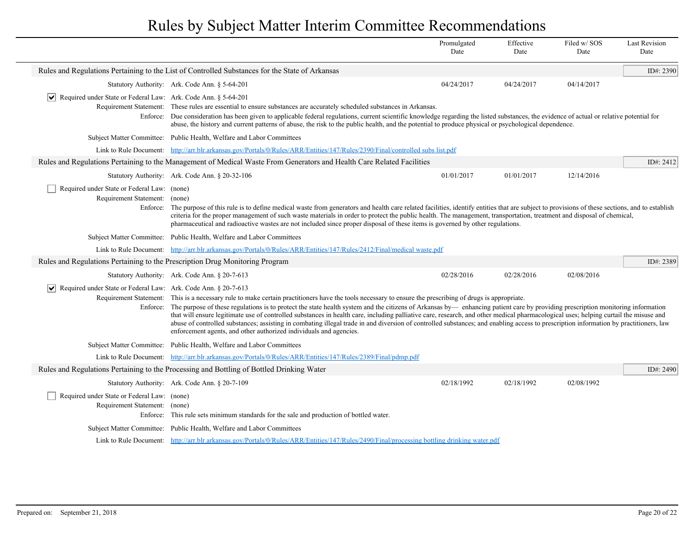|                                                                                          |                                                                                                                                                                                                                                                                                                                                                                                                                                                                                                                                                                                                                                                                                                                                                                                                             | Promulgated<br>Date | Effective<br>Date | Filed w/SOS<br>Date | <b>Last Revision</b><br>Date |
|------------------------------------------------------------------------------------------|-------------------------------------------------------------------------------------------------------------------------------------------------------------------------------------------------------------------------------------------------------------------------------------------------------------------------------------------------------------------------------------------------------------------------------------------------------------------------------------------------------------------------------------------------------------------------------------------------------------------------------------------------------------------------------------------------------------------------------------------------------------------------------------------------------------|---------------------|-------------------|---------------------|------------------------------|
|                                                                                          | Rules and Regulations Pertaining to the List of Controlled Substances for the State of Arkansas                                                                                                                                                                                                                                                                                                                                                                                                                                                                                                                                                                                                                                                                                                             |                     |                   |                     | ID#: 2390                    |
|                                                                                          | Statutory Authority: Ark. Code Ann. § 5-64-201                                                                                                                                                                                                                                                                                                                                                                                                                                                                                                                                                                                                                                                                                                                                                              | 04/24/2017          | 04/24/2017        | 04/14/2017          |                              |
| $ \mathbf{v} $ Required under State or Federal Law: Ark. Code Ann. § 5-64-201            | Requirement Statement: These rules are essential to ensure substances are accurately scheduled substances in Arkansas.<br>Enforce: Due consideration has been given to applicable federal regulations, current scientific knowledge regarding the listed substances, the evidence of actual or relative potential for<br>abuse, the history and current patterns of abuse, the risk to the public health, and the potential to produce physical or psychological dependence.                                                                                                                                                                                                                                                                                                                                |                     |                   |                     |                              |
|                                                                                          | Subject Matter Committee: Public Health, Welfare and Labor Committees                                                                                                                                                                                                                                                                                                                                                                                                                                                                                                                                                                                                                                                                                                                                       |                     |                   |                     |                              |
|                                                                                          | Link to Rule Document: http://arr.blr.arkansas.gov/Portals/0/Rules/ARR/Entities/147/Rules/2390/Final/controlled subs list.pdf                                                                                                                                                                                                                                                                                                                                                                                                                                                                                                                                                                                                                                                                               |                     |                   |                     |                              |
|                                                                                          | Rules and Regulations Pertaining to the Management of Medical Waste From Generators and Health Care Related Facilities                                                                                                                                                                                                                                                                                                                                                                                                                                                                                                                                                                                                                                                                                      |                     |                   |                     | ID#: 2412                    |
|                                                                                          | Statutory Authority: Ark. Code Ann. § 20-32-106                                                                                                                                                                                                                                                                                                                                                                                                                                                                                                                                                                                                                                                                                                                                                             | 01/01/2017          | 01/01/2017        | 12/14/2016          |                              |
| Required under State or Federal Law: (none)<br>Requirement Statement: (none)<br>Enforce: | The purpose of this rule is to define medical waste from generators and health care related facilities, identify entities that are subject to provisions of these sections, and to establish<br>criteria for the proper management of such waste materials in order to protect the public health. The management, transportation, treatment and disposal of chemical,<br>pharmaceutical and radioactive wastes are not included since proper disposal of these items is governed by other regulations.                                                                                                                                                                                                                                                                                                      |                     |                   |                     |                              |
|                                                                                          | Subject Matter Committee: Public Health, Welfare and Labor Committees                                                                                                                                                                                                                                                                                                                                                                                                                                                                                                                                                                                                                                                                                                                                       |                     |                   |                     |                              |
|                                                                                          | Link to Rule Document: http://arr.blr.arkansas.gov/Portals/0/Rules/ARR/Entities/147/Rules/2412/Final/medical waste.pdf                                                                                                                                                                                                                                                                                                                                                                                                                                                                                                                                                                                                                                                                                      |                     |                   |                     |                              |
| Rules and Regulations Pertaining to the Prescription Drug Monitoring Program             |                                                                                                                                                                                                                                                                                                                                                                                                                                                                                                                                                                                                                                                                                                                                                                                                             |                     |                   |                     | ID#: 2389                    |
|                                                                                          | Statutory Authority: Ark. Code Ann. § 20-7-613                                                                                                                                                                                                                                                                                                                                                                                                                                                                                                                                                                                                                                                                                                                                                              | 02/28/2016          | 02/28/2016        | 02/08/2016          |                              |
| $ \mathbf{v} $ Required under State or Federal Law: Ark. Code Ann. § 20-7-613            | Requirement Statement: This is a necessary rule to make certain practitioners have the tools necessary to ensure the prescribing of drugs is appropriate.<br>Enforce: The purpose of these regulations is to protect the state health system and the citizens of Arkansas by-enhancing patient care by providing prescription monitoring information<br>that will ensure legitimate use of controlled substances in health care, including palliative care, research, and other medical pharmacological uses; helping curtail the misuse and<br>abuse of controlled substances; assisting in combating illegal trade in and diversion of controlled substances; and enabling access to prescription information by practitioners, law<br>enforcement agents, and other authorized individuals and agencies. |                     |                   |                     |                              |
|                                                                                          | Subject Matter Committee: Public Health, Welfare and Labor Committees                                                                                                                                                                                                                                                                                                                                                                                                                                                                                                                                                                                                                                                                                                                                       |                     |                   |                     |                              |
|                                                                                          | Link to Rule Document: http://arr.blr.arkansas.gov/Portals/0/Rules/ARR/Entities/147/Rules/2389/Final/pdmp.pdf                                                                                                                                                                                                                                                                                                                                                                                                                                                                                                                                                                                                                                                                                               |                     |                   |                     |                              |
|                                                                                          | Rules and Regulations Pertaining to the Processing and Bottling of Bottled Drinking Water                                                                                                                                                                                                                                                                                                                                                                                                                                                                                                                                                                                                                                                                                                                   |                     |                   |                     | ID#: 2490                    |
|                                                                                          | Statutory Authority: Ark. Code Ann. § 20-7-109                                                                                                                                                                                                                                                                                                                                                                                                                                                                                                                                                                                                                                                                                                                                                              | 02/18/1992          | 02/18/1992        | 02/08/1992          |                              |
| Required under State or Federal Law: (none)<br>Requirement Statement: (none)             | Enforce: This rule sets minimum standards for the sale and production of bottled water.                                                                                                                                                                                                                                                                                                                                                                                                                                                                                                                                                                                                                                                                                                                     |                     |                   |                     |                              |
|                                                                                          | Subject Matter Committee: Public Health, Welfare and Labor Committees                                                                                                                                                                                                                                                                                                                                                                                                                                                                                                                                                                                                                                                                                                                                       |                     |                   |                     |                              |
|                                                                                          | Link to Rule Document: http://arr.blr.arkansas.gov/Portals/0/Rules/ARR/Entities/147/Rules/2490/Final/processing bottling drinking water.pdf                                                                                                                                                                                                                                                                                                                                                                                                                                                                                                                                                                                                                                                                 |                     |                   |                     |                              |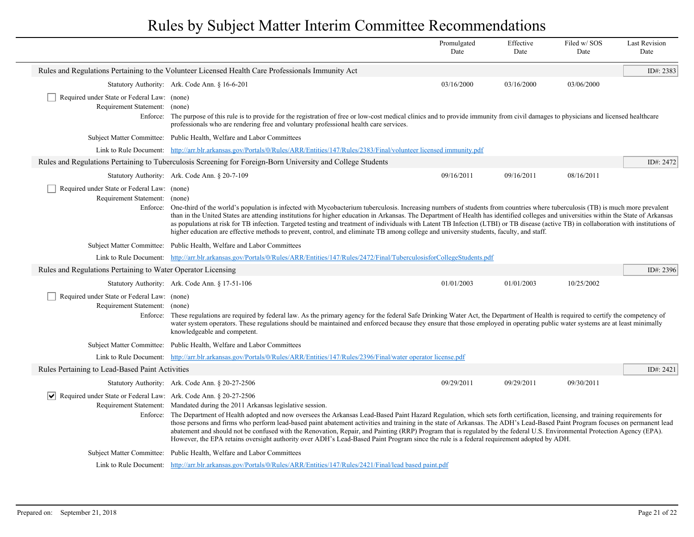|                                                                                          |                                                                                                                                                                                                                                                                                                                                                                                                                                                                                                                                                                                                                                                                                                                                                                                 | Promulgated<br>Date | Effective<br>Date | Filed w/SOS<br>Date | <b>Last Revision</b><br>Date |
|------------------------------------------------------------------------------------------|---------------------------------------------------------------------------------------------------------------------------------------------------------------------------------------------------------------------------------------------------------------------------------------------------------------------------------------------------------------------------------------------------------------------------------------------------------------------------------------------------------------------------------------------------------------------------------------------------------------------------------------------------------------------------------------------------------------------------------------------------------------------------------|---------------------|-------------------|---------------------|------------------------------|
|                                                                                          | Rules and Regulations Pertaining to the Volunteer Licensed Health Care Professionals Immunity Act                                                                                                                                                                                                                                                                                                                                                                                                                                                                                                                                                                                                                                                                               |                     |                   |                     | ID#: 2383                    |
|                                                                                          | Statutory Authority: Ark. Code Ann. § 16-6-201                                                                                                                                                                                                                                                                                                                                                                                                                                                                                                                                                                                                                                                                                                                                  | 03/16/2000          | 03/16/2000        | 03/06/2000          |                              |
| Required under State or Federal Law: (none)<br>Requirement Statement: (none)             | Enforce: The purpose of this rule is to provide for the registration of free or low-cost medical clinics and to provide immunity from civil damages to physicians and licensed healthcare<br>professionals who are rendering free and voluntary professional health care services.                                                                                                                                                                                                                                                                                                                                                                                                                                                                                              |                     |                   |                     |                              |
|                                                                                          | Subject Matter Committee: Public Health, Welfare and Labor Committees                                                                                                                                                                                                                                                                                                                                                                                                                                                                                                                                                                                                                                                                                                           |                     |                   |                     |                              |
|                                                                                          | Link to Rule Document: http://arr.blr.arkansas.gov/Portals/0/Rules/ARR/Entities/147/Rules/2383/Final/volunteer licensed immunity.pdf                                                                                                                                                                                                                                                                                                                                                                                                                                                                                                                                                                                                                                            |                     |                   |                     |                              |
|                                                                                          | Rules and Regulations Pertaining to Tuberculosis Screening for Foreign-Born University and College Students                                                                                                                                                                                                                                                                                                                                                                                                                                                                                                                                                                                                                                                                     |                     |                   |                     | ID#: 2472                    |
|                                                                                          | Statutory Authority: Ark. Code Ann. § 20-7-109                                                                                                                                                                                                                                                                                                                                                                                                                                                                                                                                                                                                                                                                                                                                  | 09/16/2011          | 09/16/2011        | 08/16/2011          |                              |
| Required under State or Federal Law: (none)<br>Requirement Statement: (none)<br>Enforce: | One-third of the world's population is infected with Mycobacterium tuberculosis. Increasing numbers of students from countries where tuberculosis (TB) is much more prevalent<br>than in the United States are attending institutions for higher education in Arkansas. The Department of Health has identified colleges and universities within the State of Arkansas<br>as populations at risk for TB infection. Targeted testing and treatment of individuals with Latent TB Infection (LTBI) or TB disease (active TB) in collaboration with institutions of<br>higher education are effective methods to prevent, control, and eliminate TB among college and university students, faculty, and staff.                                                                     |                     |                   |                     |                              |
|                                                                                          | Subject Matter Committee: Public Health, Welfare and Labor Committees                                                                                                                                                                                                                                                                                                                                                                                                                                                                                                                                                                                                                                                                                                           |                     |                   |                     |                              |
|                                                                                          | Link to Rule Document: http://arr.blr.arkansas.gov/Portals/0/Rules/ARR/Entities/147/Rules/2472/Final/TuberculosisforCollegeStudents.pdf                                                                                                                                                                                                                                                                                                                                                                                                                                                                                                                                                                                                                                         |                     |                   |                     |                              |
| Rules and Regulations Pertaining to Water Operator Licensing                             |                                                                                                                                                                                                                                                                                                                                                                                                                                                                                                                                                                                                                                                                                                                                                                                 |                     |                   |                     | ID#: 2396                    |
|                                                                                          | Statutory Authority: Ark. Code Ann. § 17-51-106                                                                                                                                                                                                                                                                                                                                                                                                                                                                                                                                                                                                                                                                                                                                 | 01/01/2003          | 01/01/2003        | 10/25/2002          |                              |
| Required under State or Federal Law: (none)<br>Requirement Statement: (none)             | Enforce: These regulations are required by federal law. As the primary agency for the federal Safe Drinking Water Act, the Department of Health is required to certify the competency of<br>water system operators. These regulations should be maintained and enforced because they ensure that those employed in operating public water systems are at least minimally<br>knowledgeable and competent.                                                                                                                                                                                                                                                                                                                                                                        |                     |                   |                     |                              |
|                                                                                          | Subject Matter Committee: Public Health, Welfare and Labor Committees                                                                                                                                                                                                                                                                                                                                                                                                                                                                                                                                                                                                                                                                                                           |                     |                   |                     |                              |
|                                                                                          | Link to Rule Document: http://arr.blr.arkansas.gov/Portals/0/Rules/ARR/Entities/147/Rules/2396/Final/water operator license.pdf                                                                                                                                                                                                                                                                                                                                                                                                                                                                                                                                                                                                                                                 |                     |                   |                     |                              |
| Rules Pertaining to Lead-Based Paint Activities                                          |                                                                                                                                                                                                                                                                                                                                                                                                                                                                                                                                                                                                                                                                                                                                                                                 |                     |                   |                     | ID#: 2421                    |
|                                                                                          | Statutory Authority: Ark. Code Ann. § 20-27-2506                                                                                                                                                                                                                                                                                                                                                                                                                                                                                                                                                                                                                                                                                                                                | 09/29/2011          | 09/29/2011        | 09/30/2011          |                              |
| $ \mathbf{v} $ Required under State or Federal Law: Ark. Code Ann. § 20-27-2506          | Requirement Statement: Mandated during the 2011 Arkansas legislative session.<br>Enforce: The Department of Health adopted and now oversees the Arkansas Lead-Based Paint Hazard Regulation, which sets forth certification, licensing, and training requirements for<br>those persons and firms who perform lead-based paint abatement activities and training in the state of Arkansas. The ADH's Lead-Based Paint Program focuses on permanent lead<br>abatement and should not be confused with the Renovation, Repair, and Painting (RRP) Program that is regulated by the federal U.S. Environmental Protection Agency (EPA).<br>However, the EPA retains oversight authority over ADH's Lead-Based Paint Program since the rule is a federal requirement adopted by ADH. |                     |                   |                     |                              |
|                                                                                          | Subject Matter Committee: Public Health, Welfare and Labor Committees                                                                                                                                                                                                                                                                                                                                                                                                                                                                                                                                                                                                                                                                                                           |                     |                   |                     |                              |
|                                                                                          | Link to Rule Document: http://arr.blr.arkansas.gov/Portals/0/Rules/ARR/Entities/147/Rules/2421/Final/lead based paint.pdf                                                                                                                                                                                                                                                                                                                                                                                                                                                                                                                                                                                                                                                       |                     |                   |                     |                              |